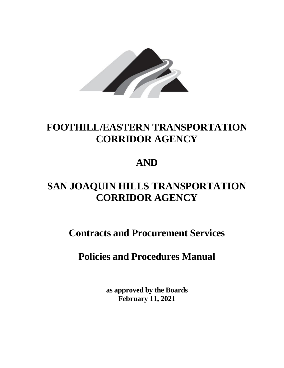

# **FOOTHILL/EASTERN TRANSPORTATION CORRIDOR AGENCY**

# **AND**

# **SAN JOAQUIN HILLS TRANSPORTATION CORRIDOR AGENCY**

 **Contracts and Procurement Services** 

 **Policies and Procedures Manual** 

 **as approved by the Boards February 11, 2021**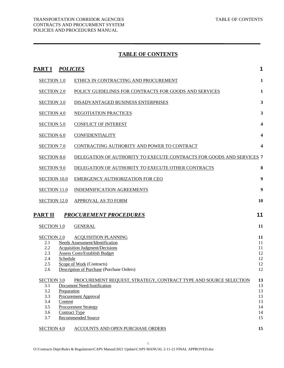# **TABLE OF CONTENTS**

| <u>PART I <i>POLICIES</i></u>                                                                                               |                                                                                                                                                                                                                                                                                                                               | 1                                                        |
|-----------------------------------------------------------------------------------------------------------------------------|-------------------------------------------------------------------------------------------------------------------------------------------------------------------------------------------------------------------------------------------------------------------------------------------------------------------------------|----------------------------------------------------------|
| <b>SECTION 1.0</b>                                                                                                          | ETHICS IN CONTRACTING AND PROCUREMENT                                                                                                                                                                                                                                                                                         | $\mathbf{1}$                                             |
| <b>SECTION 2.0</b>                                                                                                          | POLICY GUIDELINES FOR CONTRACTS FOR GOODS AND SERVICES                                                                                                                                                                                                                                                                        | 1                                                        |
| <b>SECTION 3.0</b>                                                                                                          | DISADVANTAGED BUSINESS ENTERPRISES                                                                                                                                                                                                                                                                                            | $\mathbf{3}$                                             |
| <b>SECTION 4.0</b>                                                                                                          | <b>NEGOTIATION PRACTICES</b>                                                                                                                                                                                                                                                                                                  | $\mathbf{3}$                                             |
| <b>SECTION 5.0</b>                                                                                                          | <b>CONFLICT OF INTEREST</b>                                                                                                                                                                                                                                                                                                   | $\overline{\mathbf{4}}$                                  |
| <b>SECTION 6.0</b>                                                                                                          | <b>CONFIDENTIALITY</b>                                                                                                                                                                                                                                                                                                        | $\overline{\mathbf{4}}$                                  |
| <b>SECTION 7.0</b>                                                                                                          | CONTRACTING AUTHORITY AND POWER TO CONTRACT                                                                                                                                                                                                                                                                                   | 4                                                        |
| <b>SECTION 8.0</b>                                                                                                          | DELEGATION OF AUTHORITY TO EXECUTE CONTRACTS FOR GOODS AND SERVICES 7                                                                                                                                                                                                                                                         |                                                          |
| <b>SECTION 9.0</b>                                                                                                          | DELEGATION OF AUTHORITY TO EXECUTE OTHER CONTRACTS                                                                                                                                                                                                                                                                            | 8                                                        |
| <b>SECTION 10.0</b>                                                                                                         | EMERGENCY AUTHORIZATION FOR CEO                                                                                                                                                                                                                                                                                               | 9                                                        |
| <b>SECTION 11.0</b>                                                                                                         | <b>INDEMNIFICATION AGREEMENTS</b>                                                                                                                                                                                                                                                                                             | 9                                                        |
| <b>SECTION 12.0</b>                                                                                                         | <b>APPROVAL AS TO FORM</b>                                                                                                                                                                                                                                                                                                    | 10                                                       |
| PART II                                                                                                                     | <b>PROCUREMENT PROCEDURES</b>                                                                                                                                                                                                                                                                                                 | 11                                                       |
| <b>SECTION 1.0</b>                                                                                                          | <b>GENERAL</b>                                                                                                                                                                                                                                                                                                                | 11                                                       |
| <b>SECTION 2.0</b><br>2.1<br>2.2<br>2.3<br>Schedule<br>2.4<br>2.5<br>2.6<br><b>SECTION 3.0</b><br>3.1<br>3.2<br>Preparation | <b>ACQUISITION PLANNING</b><br>Needs Assessment/Identification<br><b>Acquisition Judgment/Decisions</b><br><b>Assess Costs/Establish Budget</b><br>Scope of Work (Contracts)<br>Description of Purchase (Purchase Orders)<br>PROCUREMENT REQUEST, STRATEGY, CONTRACT TYPE AND SOURCE SELECTION<br>Document Need/Justification | 11<br>11<br>11<br>12<br>12<br>12<br>12<br>13<br>13<br>13 |
| 3.3<br>3.4<br>Content<br>3.5<br>3.6<br><b>Contract Type</b><br>3.7<br><b>SECTION 4.0</b>                                    | Procurement Approval<br><b>Procurement Strategy</b><br><b>Recommended Source</b><br><b>ACCOUNTS AND OPEN PURCHASE ORDERS</b>                                                                                                                                                                                                  | 13<br>13<br>14<br>14<br>15<br>15                         |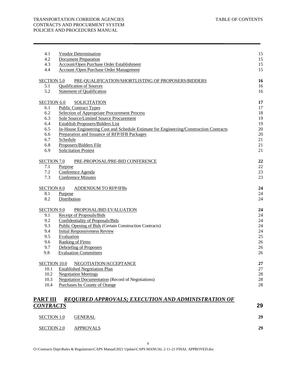#### TRANSPORTATION CORRIDOR AGENCIES TABLE OF CONTENTS CONTRACTS AND PROCURMENT SYSTEM POLICIES AND PROCEDURES MANUAL

| 4.1                 | <b>Vendor Determination</b>                                                            | 15     |
|---------------------|----------------------------------------------------------------------------------------|--------|
| 4.2                 | <b>Document Preparation</b>                                                            | 15     |
| 4.3                 | Account/Open Purchase Order Establishment                                              | 15     |
| 4.4                 | Account / Open Purchase Order Management                                               | 15     |
| <b>SECTION 5.0</b>  | PRE-QUALIFICATION/SHORTLISTING OF PROPOSERS/BIDDERS                                    | 16     |
| 5.1                 | <b>Qualification of Sources</b>                                                        | 16     |
| 5.2                 | <b>Statement of Qualification</b>                                                      | 16     |
| <b>SECTION 6.0</b>  | <b>SOLICITATION</b>                                                                    | 17     |
| 6.1                 | <b>Public Contract Types</b>                                                           | 17     |
| 6.2                 | <b>Selection of Appropriate Procurement Process</b>                                    | 18     |
| 6.3                 | <b>Sole Source/Limited Source Procurement</b>                                          | 19     |
| 6.4                 | <b>Establish Proposers/Bidders List</b>                                                | 19     |
| 6.5                 | In-House Engineering Cost and Schedule Estimate for Engineering/Construction Contracts | 20     |
| 6.6                 | Preparation and Issuance of RFP/IFB Packages                                           | 20     |
| 6.7                 | Schedule                                                                               | 21     |
| 6.8                 | Proposers/Bidders File                                                                 | 21     |
| 6.9                 | <b>Solicitation Protest</b>                                                            | 21     |
| <b>SECTION 7.0</b>  | PRE-PROPOSAL/PRE-BID CONFERENCE                                                        | 22     |
| 7.1                 | Purpose                                                                                | $22\,$ |
| 7.2                 | Conference Agenda                                                                      | 23     |
| 7.3                 | <b>Conference Minutes</b>                                                              | 23     |
| <b>SECTION 8.0</b>  | ADDENDUM TO RFP/IFBs                                                                   | 24     |
| 8.1                 | Purpose                                                                                | 24     |
| 8.2                 | Distribution                                                                           | 24     |
|                     |                                                                                        |        |
| <b>SECTION 9.0</b>  | PROPOSAL/BID EVALUATION                                                                | 24     |
| 9.1                 | Receipt of Proposals/Bids                                                              | 24     |
| 9.2                 | Confidentiality of Proposals/Bids                                                      | 24     |
| 9.3                 | <b>Public Opening of Bids (Certain Construction Contracts)</b>                         | 24     |
| 9.4                 | <b>Initial Responsiveness Review</b>                                                   | 24     |
| 9.5                 | Evaluation                                                                             | 25     |
| 9.6                 | <b>Ranking of Firms</b>                                                                | 26     |
| 9.7                 | Debriefing of Proposers                                                                | 26     |
| 9.8                 | <b>Evaluation Committees</b>                                                           | 26     |
| <b>SECTION 10.0</b> | NEGOTIATION/ACCEPTANCE                                                                 | 27     |
| 10.1                | <b>Established Negotiation Plan</b>                                                    | 27     |
| 10.2                | <b>Negotiation Meetings</b>                                                            | 28     |
| 10.3                | <b>Negotiation Documentation (Record of Negotiations)</b>                              | 28     |
| 10.4                | Purchases by County of Orange                                                          | 28     |
|                     |                                                                                        |        |
| PART III            | REQUIRED APPROVALS; EXECUTION AND ADMINISTRATION OF                                    |        |
| <b>CONTRACTS</b>    |                                                                                        | 29     |

| <b>SECTION 1.0</b> | <b>GENERAL</b>   | 29 |
|--------------------|------------------|----|
| SECTION 2.0        | <b>APPROVALS</b> | 29 |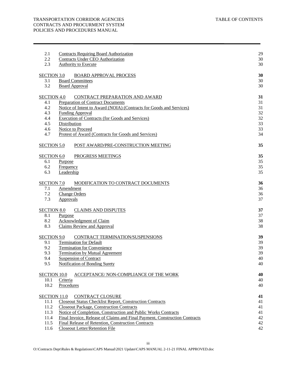| 2.1                 | <b>Contracts Requiring Board Authorization</b>                             | 29 |
|---------------------|----------------------------------------------------------------------------|----|
| 2.2                 | <b>Contracts Under CEO Authorization</b>                                   | 30 |
| 2.3                 | <b>Authority to Execute</b>                                                | 30 |
| <b>SECTION 3.0</b>  | <b>BOARD APPROVAL PROCESS</b>                                              | 30 |
| 3.1                 | <b>Board Committees</b>                                                    | 30 |
| 3.2                 | <b>Board Approval</b>                                                      | 30 |
| <b>SECTION 4.0</b>  | CONTRACT PREPARATION AND AWARD                                             | 31 |
| 4.1                 | <b>Preparation of Contract Documents</b>                                   | 31 |
| 4.2                 | Notice of Intent to Award (NOIA) (Contracts for Goods and Services)        | 31 |
| 4.3                 | <b>Funding Approval</b>                                                    | 32 |
| 4.4                 | <b>Execution of Contracts (for Goods and Services)</b>                     | 32 |
| 4.5                 | Distribution                                                               | 33 |
| 4.6                 | Notice to Proceed                                                          | 33 |
| 4.7                 | Protest of Award (Contracts for Goods and Services)                        | 34 |
| <b>SECTION 5.0</b>  | POST AWARD/PRE-CONSTRUCTION MEETING                                        | 35 |
| <b>SECTION 6.0</b>  | PROGRESS MEETINGS                                                          | 35 |
| 6.1                 | Purpose                                                                    | 35 |
| 6.2                 | Frequency                                                                  | 35 |
| 6.3                 | Leadership                                                                 | 35 |
| <b>SECTION 7.0</b>  | MODIFICATION TO CONTRACT DOCUMENTS                                         | 36 |
| 7.1                 | Amendment                                                                  | 36 |
| 7.2                 | <b>Change Orders</b>                                                       | 36 |
| 7.3                 | Approvals                                                                  | 37 |
| <b>SECTION 8.0</b>  | <b>CLAIMS AND DISPUTES</b>                                                 | 37 |
| 8.1                 | Purpose                                                                    | 37 |
| 8.2                 | Acknowledgment of Claim                                                    | 38 |
| 8.3                 | <b>Claims Review and Approval</b>                                          | 38 |
| <b>SECTION 9.0</b>  | CONTRACT TERMINATION/SUSPENSIONS                                           | 39 |
| 9.1                 | <b>Termination for Default</b>                                             | 39 |
| 9.2                 | <b>Termination for Convenience</b>                                         | 39 |
| 9.3                 | <b>Termination by Mutual Agreement</b>                                     | 39 |
| 9.4                 | <b>Suspension of Contract</b>                                              | 40 |
| 9.5                 | <b>Notification of Bonding Surety</b>                                      | 40 |
| <b>SECTION 10.0</b> | ACCEPTANCE/ NON-COMPLIANCE OF THE WORK                                     | 40 |
| 10.1                | Criteria                                                                   | 40 |
| 10.2                | Procedures                                                                 | 40 |
| <b>SECTION 11.0</b> | <b>CONTRACT CLOSURE</b>                                                    | 41 |
| 11.1                | <b>Closeout Status Checklist Report, Construction Contracts</b>            | 41 |
| 11.2                | <b>Closeout Package, Construction Contracts</b>                            | 41 |
| 11.3                | Notice of Completion, Construction and Public Works Contracts              | 41 |
| 11.4                | Final Invoice, Release of Claims and Final Payment, Construction Contracts | 42 |
| 11.5                | Final Release of Retention, Construction Contracts                         | 42 |
| 11.6                | Closeout Letter/Retention File                                             | 42 |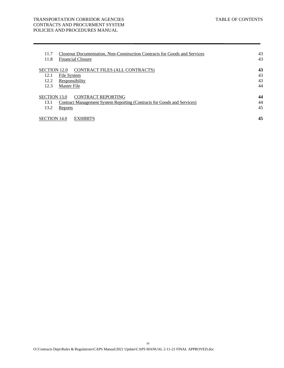### TRANSPORTATION CORRIDOR AGENCIES TABLE OF CONTENTS CONTRACTS AND PROCURMENT SYSTEM POLICIES AND PROCEDURES MANUAL

| 11.7                | <b>Closeout Documentation, Non-Construction Contracts for Goods and Services</b> | 43 |
|---------------------|----------------------------------------------------------------------------------|----|
| 11.8                | <b>Financial Closure</b>                                                         | 43 |
| SECTION 12.0        | CONTRACT FILES (ALL CONTRACTS)                                                   | 43 |
| 12.1                | File System                                                                      | 43 |
| 12.2                | Responsibility                                                                   | 43 |
| 12.3                | <b>Master File</b>                                                               | 44 |
| <b>SECTION 13.0</b> | <b>CONTRACT REPORTING</b>                                                        | 44 |
| 13.1                | <b>Contract Management System Reporting (Contracts for Goods and Services)</b>   | 44 |
| 13.2                | Reports                                                                          | 45 |
| <b>SECTION 14.0</b> | <b>EXHIBITS</b>                                                                  | 45 |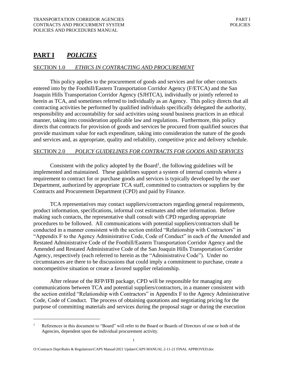# <span id="page-5-0"></span>**PART I** *POLICIES*

# SECTION 1.0 *ETHICS IN CONTRACTING AND PROCUREMENT*

This policy applies to the procurement of goods and services and for other contracts entered into by the Foothill/Eastern Transportation Corridor Agency (F/ETCA) and the San Joaquin Hills Transportation Corridor Agency (SJHTCA), individually or jointly referred to herein as TCA, and sometimes referred to individually as an Agency. This policy directs that all contracting activities be performed by qualified individuals specifically delegated the authority, responsibility and accountability for said activities using sound business practices in an ethical manner, taking into consideration applicable law and regulations. Furthermore, this policy directs that contracts for provision of goods and services be procured from qualified sources that provide maximum value for each expenditure, taking into consideration the nature of the goods and services and, as appropriate, quality and reliability, competitive price and delivery schedule.

### SECTION 2.0 *POLICY GUIDELINES FOR CONTRACTS FOR GOODS AND SERVICES*

Consistent with the policy adopted by the Board<sup>1</sup>, the following guidelines will be implemented and maintained. These guidelines support a system of internal controls where a requirement to contract for or purchase goods and services is typically developed by the user Department, authorized by appropriate TCA staff, committed to contractors or suppliers by the Contracts and Procurement Department (CPD) and paid by Finance.

TCA representatives may contact suppliers/contractors regarding general requirements, product information, specifications, informal cost estimates and other information. Before making such contacts, the representative shall consult with CPD regarding appropriate procedures to be followed. All communications with potential suppliers/contractors shall be conducted in a manner consistent with the section entitled "Relationship with Contractors" in "Appendix F to the Agency Administrative Code, Code of Conduct" in each of the Amended and Restated Administrative Code of the Foothill/Eastern Transportation Corridor Agency and the Amended and Restated Administrative Code of the San Joaquin Hills Transportation Corridor Agency, respectively (each referred to herein as the "Administrative Code"). Under no circumstances are there to be discussions that could imply a commitment to purchase, create a noncompetitive situation or create a favored supplier relationship.

 Code, Code of Conduct. The process of obtaining quotations and negotiating pricing for the After release of the RFP/IFB package, CPD will be responsible for managing any communications between TCA and potential suppliers/contractors, in a manner consistent with the section entitled "Relationship with Contractors" in Appendix F to the Agency Administrative purpose of committing materials and services during the proposal stage or during the execution

 References in this document to "Board" will refer to the Board or Boards of Directors of one or both of the Agencies, dependent upon the individual procurement activity. 1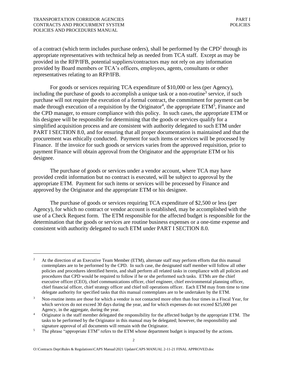<span id="page-6-0"></span>representatives relating to an RFP/IFB. of a contract (which term includes purchase orders), shall be performed by the  $CPD<sup>2</sup>$  through its appropriate representatives with technical help as needed from TCA staff. Except as may be provided in the RFP/IFB, potential suppliers/contractors may not rely on any information provided by Board members or TCA's officers, employees, agents, consultants or other

For goods or services requiring TCA expenditure of \$10,000 or less (per Agency), including the purchase of goods to accomplish a unique task or a non-routine<sup>3</sup> service, if such purchase will not require the execution of a formal contract, the commitment for payment can be made through execution of a requisition by the Originator<sup>4</sup>, the appropriate  $ETM<sup>5</sup>$ , Finance and the CPD manager, to ensure compliance with this policy. In such cases, the appropriate ETM or his designee will be responsible for determining that the goods or services qualify for a simplified acquisition process and are consistent with authority delegated to such ETM under PART I SECTION 8.0, and for ensuring that all proper documentation is maintained and that the procurement was ethically conducted. Payment for such items or services will be processed by Finance. If the invoice for such goods or services varies from the approved requisition, prior to payment Finance will obtain approval from the Originator and the appropriate ETM or his designee.

The purchase of goods or services under a vendor account, where TCA may have provided credit information but no contract is executed, will be subject to approval by the appropriate ETM. Payment for such items or services will be processed by Finance and approved by the Originator and the appropriate ETM or his designee.

The purchase of goods or services requiring TCA expenditure of \$2,500 or less (per Agency), for which no contract or vendor account is established, may be accomplished with the use of a Check Request form. The ETM responsible for the affected budget is responsible for the determination that the goods or services are routine business expenses or a one-time expense and consistent with authority delegated to such ETM under PART I SECTION 8.0.

<sup>&</sup>lt;sup>2</sup> At the direction of an Executive Team Member (ETM), alternate staff may perform efforts that this manual contemplates are to be performed by the CPD. In such case, the designated staff member will follow all other policies and procedures identified herein, and shall perform all related tasks in compliance with all policies and procedures that CPD would be required to follow if he or she performed such tasks. ETMs are the chief executive officer (CEO), chief communications officer, chief engineer, chief environmental planning officer, chief financial officer, chief strategy officer and chief toll operations officer. Each ETM may from time to time delegate authority for specified tasks that this manual contemplates are to be undertaken by the ETM.

<sup>&</sup>lt;sup>3</sup> Non-routine items are those for which a vendor is not contacted more often than four times in a Fiscal Year, for which services do not exceed 30 days during the year, and for which expenses do not exceed \$25,000 per

Agency, in the aggregate, during the year.<br>4 Originator is the staff member delegated the responsibility for the affected budget by the appropriate ETM. The tasks to be performed by the Originator in this manual may be delegated; however, the responsibility and

signature approval of all documents will remain with the Originator.<br><sup>5</sup> The phrase "appropriate ETM" refers to the ETM whose department budget is impacted by the actions.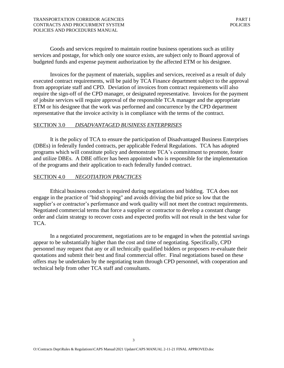<span id="page-7-0"></span>Goods and services required to maintain routine business operations such as utility services and postage, for which only one source exists, are subject only to Board approval of budgeted funds and expense payment authorization by the affected ETM or his designee.

Invoices for the payment of materials, supplies and services, received as a result of duly executed contract requirements, will be paid by TCA Finance department subject to the approval from appropriate staff and CPD. Deviation of invoices from contract requirements will also require the sign-off of the CPD manager, or designated representative. Invoices for the payment of jobsite services will require approval of the responsible TCA manager and the appropriate ETM or his designee that the work was performed and concurrence by the CPD department representative that the invoice activity is in compliance with the terms of the contract.

### SECTION 3.0 *DISADVANTAGED BUSINESS ENTERPRISES*

It is the policy of TCA to ensure the participation of Disadvantaged Business Enterprises (DBEs) in federally funded contracts, per applicable Federal Regulations. TCA has adopted programs which will constitute policy and demonstrate TCA's commitment to promote, foster and utilize DBEs. A DBE officer has been appointed who is responsible for the implementation of the programs and their application to each federally funded contract.

### SECTION 4.0 *NEGOTIATION PRACTICES*

Ethical business conduct is required during negotiations and bidding. TCA does not engage in the practice of "bid shopping" and avoids driving the bid price so low that the supplier's or contractor's performance and work quality will not meet the contract requirements. Negotiated commercial terms that force a supplier or contractor to develop a constant change order and claim strategy to recover costs and expected profits will not result in the best value for TCA.

In a negotiated procurement, negotiations are to be engaged in when the potential savings appear to be substantially higher than the cost and time of negotiating. Specifically, CPD personnel may request that any or all technically qualified bidders or proposers re-evaluate their quotations and submit their best and final commercial offer. Final negotiations based on these offers may be undertaken by the negotiating team through CPD personnel, with cooperation and technical help from other TCA staff and consultants.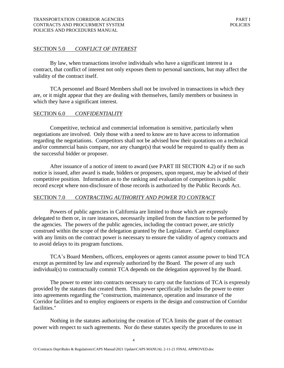### SECTION 5.0 *CONFLICT OF INTEREST*

By law, when transactions involve individuals who have a significant interest in a contract, that conflict of interest not only exposes them to personal sanctions, but may affect the validity of the contract itself.

TCA personnel and Board Members shall not be involved in transactions in which they are, or it might appear that they are dealing with themselves, family members or business in which they have a significant interest.

### SECTION 6.0 *CONFIDENTIALITY*

Competitive, technical and commercial information is sensitive, particularly when negotiations are involved. Only those with a need to know are to have access to information regarding the negotiations. Competitors shall not be advised how their quotations on a technical and/or commercial basis compare, nor any change(s) that would be required to qualify them as the successful bidder or proposer.

After issuance of a notice of intent to award (see PART III SECTION 4.2) or if no such notice is issued, after award is made, bidders or proposers, upon request, may be advised of their competitive position. Information as to the ranking and evaluation of competitors is public record except where non-disclosure of those records is authorized by the Public Records Act.

### SECTION 7.0 *CONTRACTING AUTHORITY AND POWER TO CONTRACT*

Powers of public agencies in California are limited to those which are expressly delegated to them or, in rare instances, necessarily implied from the function to be performed by the agencies. The powers of the public agencies, including the contract power, are strictly construed within the scope of the delegation granted by the Legislature. Careful compliance with any limits on the contract power is necessary to ensure the validity of agency contracts and to avoid delays to its program functions.

TCA's Board Members, officers, employees or agents cannot assume power to bind TCA except as permitted by law and expressly authorized by the Board. The power of any such individual(s) to contractually commit TCA depends on the delegation approved by the Board.

The power to enter into contracts necessary to carry out the functions of TCA is expressly provided by the statutes that created them. This power specifically includes the power to enter into agreements regarding the "construction, maintenance, operation and insurance of the Corridor facilities and to employ engineers or experts in the design and construction of Corridor facilities."

 power with respect to such agreements. Nor do these statutes specify the procedures to use in Nothing in the statutes authorizing the creation of TCA limits the grant of the contract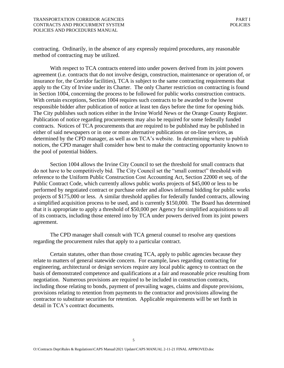contracting. Ordinarily, in the absence of any expressly required procedures, any reasonable method of contracting may be utilized.

With respect to TCA contracts entered into under powers derived from its joint powers agreement (i.e. contracts that do not involve design, construction, maintenance or operation of, or insurance for, the Corridor facilities), TCA is subject to the same contracting requirements that apply to the City of Irvine under its Charter. The only Charter restriction on contracting is found in Section 1004, concerning the process to be followed for public works construction contracts. With certain exceptions, Section 1004 requires such contracts to be awarded to the lowest responsible bidder after publication of notice at least ten days before the time for opening bids. The City publishes such notices either in the Irvine World News or the Orange County Register. Publication of notice regarding procurements may also be required for some federally funded contracts. Notices of TCA procurements that are required to be published may be published in either of said newspapers or in one or more alternative publications or on-line services, as determined by the CPD manager, as well as on TCA's website. In determining where to publish notices, the CPD manager shall consider how best to make the contracting opportunity known to the pool of potential bidders.

Section 1004 allows the Irvine City Council to set the threshold for small contracts that do not have to be competitively bid. The City Council set the "small contract" threshold with reference to the Uniform Public Construction Cost Accounting Act, Section 22000 et seq. of the Public Contract Code, which currently allows public works projects of \$45,000 or less to be performed by negotiated contract or purchase order and allows informal bidding for public works projects of \$175,000 or less. A similar threshold applies for federally funded contracts, allowing a simplified acquisition process to be used, and is currently \$150,000. The Board has determined that it is appropriate to apply a threshold of \$50,000 per Agency for simplified acquisitions to all of its contracts, including those entered into by TCA under powers derived from its joint powers agreement.

The CPD manager shall consult with TCA general counsel to resolve any questions regarding the procurement rules that apply to a particular contract.

Certain statutes, other than those creating TCA, apply to public agencies because they relate to matters of general statewide concern. For example, laws regarding contracting for engineering, architectural or design services require any local public agency to contract on the basis of demonstrated competence and qualifications at a fair and reasonable price resulting from negotiation. Numerous provisions are required to be included in construction contracts, including those relating to bonds, payment of prevailing wages, claims and dispute provisions, provisions relating to retention from payments to the contractor and provisions allowing the contractor to substitute securities for retention. Applicable requirements will be set forth in detail in TCA's contract documents.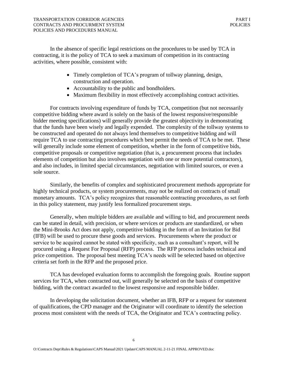In the absence of specific legal restrictions on the procedures to be used by TCA in contracting, it is the policy of TCA to seek a maximum of competition in its contracting activities, where possible, consistent with:

- Timely completion of TCA's program of tollway planning, design, construction and operation.
- Accountability to the public and bondholders.
- Maximum flexibility in most effectively accomplishing contract activities.

For contracts involving expenditure of funds by TCA, competition (but not necessarily competitive bidding where award is solely on the basis of the lowest responsive/responsible bidder meeting specifications) will generally provide the greatest objectivity in demonstrating that the funds have been wisely and legally expended. The complexity of the tollway systems to be constructed and operated do not always lend themselves to competitive bidding and will require TCA to use contracting procedures which best permit the needs of TCA to be met. These will generally include some element of competition, whether in the form of competitive bids, competitive proposals or competitive negotiation (that is, a procurement process that includes elements of competition but also involves negotiation with one or more potential contractors), and also includes, in limited special circumstances, negotiation with limited sources, or even a sole source.

Similarly, the benefits of complex and sophisticated procurement methods appropriate for highly technical products, or system procurements, may not be realized on contracts of small monetary amounts. TCA's policy recognizes that reasonable contracting procedures, as set forth in this policy statement, may justify less formalized procurement steps.

Generally, when multiple bidders are available and willing to bid, and procurement needs can be stated in detail, with precision, or where services or products are standardized, or when the Mini-Brooks Act does not apply, competitive bidding in the form of an Invitation for Bid (IFB) will be used to procure these goods and services. Procurements where the product or service to be acquired cannot be stated with specificity, such as a consultant's report, will be procured using a Request For Proposal (RFP) process. The RFP process includes technical and price competition. The proposal best meeting TCA's needs will be selected based on objective criteria set forth in the RFP and the proposed price.

TCA has developed evaluation forms to accomplish the foregoing goals. Routine support services for TCA, when contracted out, will generally be selected on the basis of competitive bidding, with the contract awarded to the lowest responsive and responsible bidder.

In developing the solicitation document, whether an IFB, RFP or a request for statement of qualifications, the CPD manager and the Originator will coordinate to identify the selection process most consistent with the needs of TCA, the Originator and TCA's contracting policy.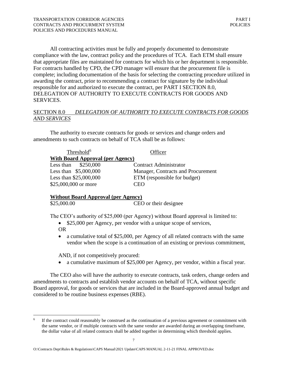All contracting activities must be fully and properly documented to demonstrate compliance with the law, contract policy and the procedures of TCA. Each ETM shall ensure that appropriate files are maintained for contracts for which his or her department is responsible. For contracts handled by CPD, the CPD manager will ensure that the procurement file is complete; including documentation of the basis for selecting the contracting procedure utilized in awarding the contract, prior to recommending a contract for signature by the individual responsible for and authorized to execute the contract, per PART I SECTION 8.0, DELEGATION OF AUTHORITY TO EXECUTE CONTRACTS FOR GOODS AND SERVICES.

# SECTION 8.0 *DELEGATION OF AUTHORITY TO EXECUTE CONTRACTS FOR GOODS AND SERVICES*

The authority to execute contracts for goods or services and change orders and amendments to such contracts on behalf of TCA shall be as follows:

| Threshold <sup>6</sup>                  | <b>Officer</b>                     |
|-----------------------------------------|------------------------------------|
| <b>With Board Approval (per Agency)</b> |                                    |
| Less than $$250,000$                    | <b>Contract Administrator</b>      |
| Less than $$5,000,000$                  | Manager, Contracts and Procurement |
| Less than \$25,000,000                  | ETM (responsible for budget)       |
| \$25,000,000 or more                    | CEO                                |

# **Without Board Approval (per Agency)**  [\\$25,000.00](https://25,000.00) CEO or their designee

The CEO's authority of \$25,000 (per Agency) without Board approval is limited to:

- \$25,000 per Agency, per vendor with a unique scope of services,
- OR
- a cumulative total of \$25,000, per Agency of all related contracts with the same vendor when the scope is a continuation of an existing or previous commitment,

AND, if not competitively procured:

• a cumulative maximum of \$25,000 per Agency, per vendor, within a fiscal year.

The CEO also will have the authority to execute contracts, task orders, change orders and amendments to contracts and establish vendor accounts on behalf of TCA, without specific Board approval, for goods or services that are included in the Board-approved annual budget and considered to be routine business expenses (RBE).

 the same vendor, or if multiple contracts with the same vendor are awarded during an overlapping timeframe, the dollar value of all related contracts shall be added together in determining which threshold applies. If the contract could reasonably be construed as the continuation of a previous agreement or commitment with 6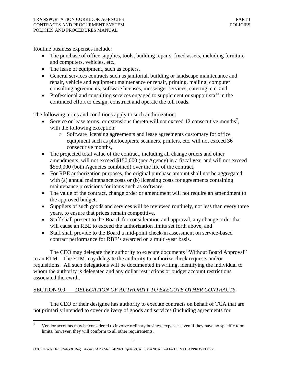Routine business expenses include:

- The purchase of office supplies, tools, building repairs, fixed assets, including furniture and computers, vehicles, etc.,
- The lease of equipment, such as copiers,
- General services contracts such as janitorial, building or landscape maintenance and repair, vehicle and equipment maintenance or repair, printing, mailing, computer consulting agreements, software licenses, messenger services, catering, etc. and
- Professional and consulting services engaged to supplement or support staff in the continued effort to design, construct and operate the toll roads.

The following terms and conditions apply to such authorization:

- Service or lease terms, or extensions thereto will not exceed 12 consecutive months<sup>7</sup>, with the following exception:
	- o Software licensing agreements and lease agreements customary for office equipment such as photocopiers, scanners, printers, etc. will not exceed 36 consecutive months,
- The projected total value of the contract, including all change orders and other amendments, will not exceed \$150,000 (per Agency) in a fiscal year and will not exceed \$550,000 (both Agencies combined) over the life of the contract,
- For RBE authorization purposes, the original purchase amount shall not be aggregated with (a) annual maintenance costs or (b) licensing costs for agreements containing maintenance provisions for items such as software,
- The value of the contract, change order or amendment will not require an amendment to the approved budget,
- Suppliers of such goods and services will be reviewed routinely, not less than every three years, to ensure that prices remain competitive,
- Staff shall present to the Board, for consideration and approval, any change order that will cause an RBE to exceed the authorization limits set forth above, and
- contract performance for RBE's awarded on a multi-year basis. • Staff shall provide to the Board a mid-point check-in assessment on service-based

The CEO may delegate their authority to execute documents "Without Board Approval" to an ETM. The ETM may delegate the authority to authorize check requests and/or requisitions. All such delegations will be documented in writing, identifying the individual to whom the authority is delegated and any dollar restrictions or budget account restrictions associated therewith.

# SECTION 9.0 *DELEGATION OF AUTHORITY TO EXECUTE OTHER CONTRACTS*

The CEO or their designee has authority to execute contracts on behalf of TCA that are not primarily intended to cover delivery of goods and services (including agreements for

 Vendor accounts may be considered to involve ordinary business expenses even if they have no specific term limits, however, they will conform to all other requirements. 7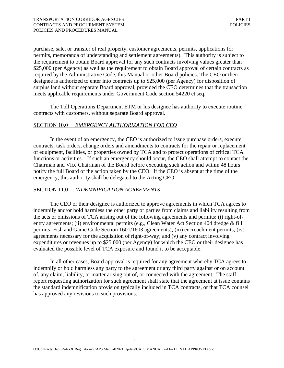meets applicable requirements under Government Code section 54220 et seq. purchase, sale, or transfer of real property, customer agreements, permits, applications for permits, memoranda of understanding and settlement agreements). This authority is subject to the requirement to obtain Board approval for any such contracts involving values greater than \$25,000 (per Agency) as well as the requirement to obtain Board approval of certain contracts as required by the Administrative Code, this Manual or other Board policies. The CEO or their designee is authorized to enter into contracts up to \$25,000 (per Agency) for disposition of surplus land without separate Board approval, provided the CEO determines that the transaction

The Toll Operations Department ETM or his designee has authority to execute routine contracts with customers, without separate Board approval.

### SECTION 10.0 *EMERGENCY AUTHORIZATION FOR CEO*

In the event of an emergency, the CEO is authorized to issue purchase orders, execute contracts, task orders, change orders and amendments to contracts for the repair or replacement of equipment, facilities, or properties owned by TCA and to protect operations of critical TCA functions or activities. If such an emergency should occur, the CEO shall attempt to contact the Chairman and Vice Chairman of the Board before executing such action and within 48 hours notify the full Board of the action taken by the CEO. If the CEO is absent at the time of the emergency, this authority shall be delegated to the Acting CEO.

### SECTION 11.0 *INDEMNIFICATION AGREEMENTS*

The CEO or their designee is authorized to approve agreements in which TCA agrees to indemnify and/or hold harmless the other party or parties from claims and liability resulting from the acts or omissions of TCA arising out of the following agreements and permits: (i) right-ofentry agreements; (ii) environmental permits (e.g., Clean Water Act Section 404 dredge & fill permits; Fish and Game Code Section 1601/1603 agreements); (iii) encroachment permits; (iv) agreements necessary for the acquisition of right-of-way; and (v) any contract involving expenditures or revenues up to \$25,000 (per Agency) for which the CEO or their designee has evaluated the possible level of TCA exposure and found it to be acceptable.

In all other cases, Board approval is required for any agreement whereby TCA agrees to indemnify or hold harmless any party to the agreement or any third party against or on account of, any claim, liability, or matter arising out of, or connected with the agreement. The staff report requesting authorization for such agreement shall state that the agreement at issue contains the standard indemnification provision typically included in TCA contracts, or that TCA counsel has approved any revisions to such provisions.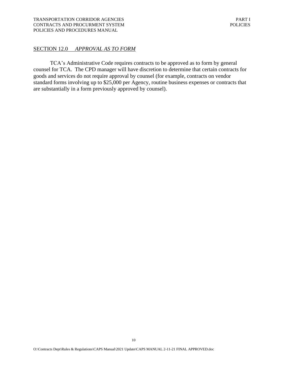### SECTION 12.0 *APPROVAL AS TO FORM*

TCA's Administrative Code requires contracts to be approved as to form by general counsel for TCA. The CPD manager will have discretion to determine that certain contracts for goods and services do not require approval by counsel (for example, contracts on vendor standard forms involving up to \$25,000 per Agency, routine business expenses or contracts that are substantially in a form previously approved by counsel).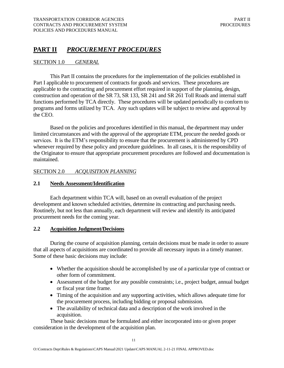# **PART II** *PROCUREMENT PROCEDURES*

### SECTION 1.0 *GENERAL*

 This Part II contains the procedures for the implementation of the policies established in Part I applicable to procurement of contracts for goods and services. These procedures are applicable to the contracting and procurement effort required in support of the planning, design, construction and operation of the SR 73, SR 133, SR 241 and SR 261 Toll Roads and internal staff functions performed by TCA directly. These procedures will be updated periodically to conform to programs and forms utilized by TCA. Any such updates will be subject to review and approval by the CEO.

 Based on the policies and procedures identified in this manual, the department may under limited circumstances and with the approval of the appropriate ETM, procure the needed goods or services. It is the ETM's responsibility to ensure that the procurement is administered by CPD whenever required by these policy and procedure guidelines. In all cases, it is the responsibility of the Originator to ensure that appropriate procurement procedures are followed and documentation is maintained.

### SECTION 2.0 *ACQUISITION PLANNING*

### **2.1 Needs Assessment/Identification**

 Each department within TCA will, based on an overall evaluation of the project development and known scheduled activities, determine its contracting and purchasing needs. Routinely, but not less than annually, each department will review and identify its anticipated procurement needs for the coming year.

### **2.2 Acquisition Judgment/Decisions**

 During the course of acquisition planning, certain decisions must be made in order to assure that all aspects of acquisitions are coordinated to provide all necessary inputs in a timely manner. Some of these basic decisions may include:

- • Whether the acquisition should be accomplished by use of a particular type of contract or other form of commitment.
- • Assessment of the budget for any possible constraints; i.e., project budget, annual budget or fiscal year time frame.
- • Timing of the acquisition and any supporting activities, which allows adequate time for the procurement process, including bidding or proposal submission.
- • The availability of technical data and a description of the work involved in the acquisition.

 These basic decisions must be formulated and either incorporated into or given proper consideration in the development of the acquisition plan.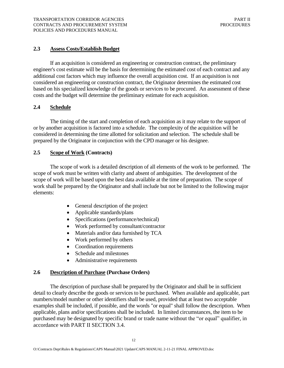# **2.3 Assess Costs/Establish Budget**

 If an acquisition is considered an engineering or construction contract, the preliminary engineer's cost estimate will be the basis for determining the estimated cost of each contract and any additional cost factors which may influence the overall acquisition cost. If an acquisition is not considered an engineering or construction contract, the Originator determines the estimated cost based on his specialized knowledge of the goods or services to be procured. An assessment of these costs and the budget will determine the preliminary estimate for each acquisition.

# **2.4 Schedule**

 The timing of the start and completion of each acquisition as it may relate to the support of or by another acquisition is factored into a schedule. The complexity of the acquisition will be considered in determining the time allotted for solicitation and selection. The schedule shall be prepared by the Originator in conjunction with the CPD manager or his designee.

# **2.5 Scope of Work (Contracts)**

 The scope of work is a detailed description of all elements of the work to be performed. The scope of work must be written with clarity and absent of ambiguities. The development of the scope of work will be based upon the best data available at the time of preparation. The scope of work shall be prepared by the Originator and shall include but not be limited to the following major elements:

- General description of the project
- Applicable standards/plans
- Specifications (performance/technical)
- Work performed by consultant/contractor
- Materials and/or data furnished by TCA
- Work performed by others
- Coordination requirements
- Schedule and milestones
- Administrative requirements

# **2.6 Description of Purchase (Purchase Orders)**

 The description of purchase shall be prepared by the Originator and shall be in sufficient detail to clearly describe the goods or services to be purchased. When available and applicable, part numbers/model number or other identifiers shall be used, provided that at least two acceptable examples shall be included, if possible, and the words "or equal" shall follow the description. When applicable, plans and/or specifications shall be included. In limited circumstances, the item to be purchased may be designated by specific brand or trade name without the "or equal" qualifier, in accordance with PART II SECTION 3.4.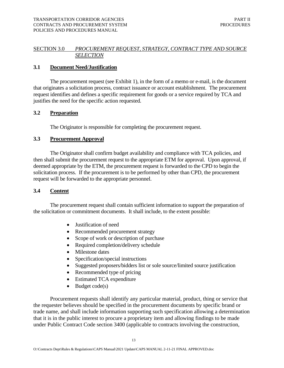# SECTION 3.0 *PROCUREMENT REQUEST, STRATEGY, CONTRACT TYPE AND SOURCE SELECTION*

### **3.1 Document Need/Justification**

 The procurement request (see Exhibit 1), in the form of a memo or e-mail, is the document that originates a solicitation process, contract issuance or account establishment. The procurement request identifies and defines a specific requirement for goods or a service required by TCA and justifies the need for the specific action requested.

# **3.2 Preparation**

The Originator is responsible for completing the procurement request.

### **3.3 Procurement Approval**

 The Originator shall confirm budget availability and compliance with TCA policies, and then shall submit the procurement request to the appropriate ETM for approval. Upon approval, if deemed appropriate by the ETM, the procurement request is forwarded to the CPD to begin the solicitation process. If the procurement is to be performed by other than CPD, the procurement request will be forwarded to the appropriate personnel.

### **3.4 Content**

 The procurement request shall contain sufficient information to support the preparation of the solicitation or commitment documents. It shall include, to the extent possible:

- Justification of need
- Recommended procurement strategy
- Scope of work or description of purchase
- Required completion/delivery schedule
- Milestone dates
- Specification/special instructions
- Suggested proposers/bidders list or sole source/limited source justification
- Recommended type of pricing
- Estimated TCA expenditure
- Budget  $code(s)$

Procurement requests shall identify any particular material, product, thing or service that the requester believes should be specified in the procurement documents by specific brand or trade name, and shall include information supporting such specification allowing a determination that it is in the public interest to procure a proprietary item and allowing findings to be made under Public Contract Code section 3400 (applicable to contracts involving the construction,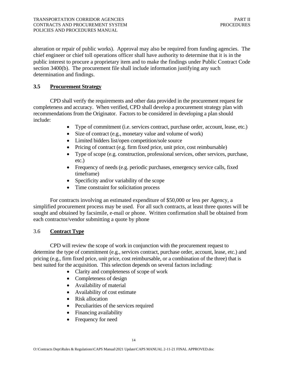alteration or repair of public works). Approval may also be required from funding agencies. The chief engineer or chief toll operations officer shall have authority to determine that it is in the public interest to procure a proprietary item and to make the findings under Public Contract Code section 3400(b). The procurement file shall include information justifying any such determination and findings.

# **3.5 Procurement Strategy**

 CPD shall verify the requirements and other data provided in the procurement request for completeness and accuracy. When verified, CPD shall develop a procurement strategy plan with recommendations from the Originator. Factors to be considered in developing a plan should include:

- Type of commitment (i.e. services contract, purchase order, account, lease, etc.)
- Size of contract (e.g., monetary value and volume of work)
- Limited bidders list/open competition/sole source
- Pricing of contract (e.g. firm fixed price, unit price, cost reimbursable)
- • Type of scope (e.g. construction, professional services, other services, purchase, etc.)
- • Frequency of needs (e.g. periodic purchases, emergency service calls, fixed timeframe)
- Specificity and/or variability of the scope
- Time constraint for solicitation process

For contracts involving an estimated expenditure of \$50,000 or less per Agency, a simplified procurement process may be used. For all such contracts, at least three quotes will be sought and obtained by facsimile, e-mail or phone. Written confirmation shall be obtained from each contractor/vendor submitting a quote by phone

### 3.6 **Contract Type**

 CPD will review the scope of work in conjunction with the procurement request to determine the type of commitment (e.g., services contract, purchase order, account, lease, etc.) and pricing (e.g., firm fixed price, unit price, cost reimbursable, or a combination of the three) that is best suited for the acquisition. This selection depends on several factors including:

- Clarity and completeness of scope of work
- Completeness of design
- Availability of material
- Availability of cost estimate
- Risk allocation
- Peculiarities of the services required
- Financing availability
- Frequency for need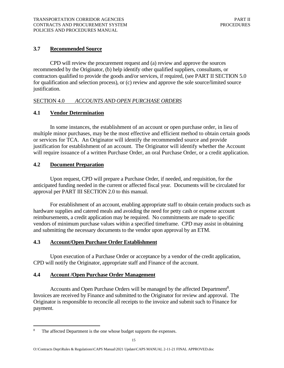# **3.7 Recommended Source**

 CPD will review the procurement request and (a) review and approve the sources recommended by the Originator, (b) help identify other qualified suppliers, consultants, or contractors qualified to provide the goods and/or services, if required, (see PART II SECTION 5.0 for qualification and selection process), or (c) review and approve the sole source/limited source justification.

# SECTION 4.0 *ACCOUNTS AND OPEN PURCHASE ORDERS*

# **4.1 Vendor Determination**

In some instances, the establishment of an account or open purchase order, in lieu of multiple minor purchases, may be the most effective and efficient method to obtain certain goods or services for TCA. An Originator will identify the recommended source and provide justification for establishment of an account. The Originator will identify whether the Account will require issuance of a written Purchase Order, an oral Purchase Order, or a credit application.

# **4.2 Document Preparation**

 Upon request, CPD will prepare a Purchase Order, if needed, and requisition, for the anticipated funding needed in the current or affected fiscal year. Documents will be circulated for approval per PART III SECTION 2.0 to this manual.

 For establishment of an account, enabling appropriate staff to obtain certain products such as hardware supplies and catered meals and avoiding the need for petty cash or expense account reimbursements, a credit application may be required. No commitments are made to specific vendors of minimum purchase values within a specified timeframe. CPD may assist in obtaining and submitting the necessary documents to the vendor upon approval by an ETM.

### **4.3 Account/Open Purchase Order Establishment**

 Upon execution of a Purchase Order or acceptance by a vendor of the credit application, CPD will notify the Originator, appropriate staff and Finance of the account.

### **4.4 Account /Open Purchase Order Management**

Accounts and Open Purchase Orders will be managed by the affected Department<sup>8</sup>. Invoices are received by Finance and submitted to the Originator for review and approval. The Originator is responsible to reconcile all receipts to the invoice and submit such to Finance for payment.

<sup>&</sup>lt;sup>8</sup> The affected Department is the one whose budget supports the expenses.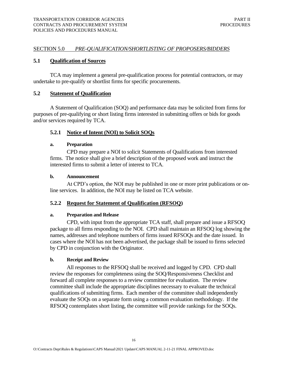### SECTION 5.0 *PRE-QUALIFICATION/SHORTLISTING OF PROPOSERS/BIDDERS*

### **5.1 Qualification of Sources**

 TCA may implement a general pre-qualification process for potential contractors, or may undertake to pre-qualify or shortlist firms for specific procurements.

### **5.2 Statement of Qualification**

 A Statement of Qualification (SOQ) and performance data may be solicited from firms for purposes of pre-qualifying or short listing firms interested in submitting offers or bids for goods and/or services required by TCA.

### **5.2.1 Notice of Intent (NOI) to Solicit SOQs**

### **a. Preparation**

 CPD may prepare a NOI to solicit Statements of Qualifications from interested firms. The notice shall give a brief description of the proposed work and instruct the interested firms to submit a letter of interest to TCA.

### **b. Announcement**

 At CPD's option, the NOI may be published in one or more print publications or on-line services. In addition, the NOI may be listed on TCA website.

### **5.2.2 Request for Statement of Qualification (RFSOQ)**

### **a. Preparation and Release**

 CPD, with input from the appropriate TCA staff, shall prepare and issue a RFSOQ package to all firms responding to the NOI. CPD shall maintain an RFSOQ log showing the names, addresses and telephone numbers of firms issued RFSOQs and the date issued. In cases where the NOI has not been advertised, the package shall be issued to firms selected by CPD in conjunction with the Originator.

### **b. Receipt and Review**

 All responses to the RFSOQ shall be received and logged by CPD. CPD shall review the responses for completeness using the SOQ/Responsiveness Checklist and forward all complete responses to a review committee for evaluation. The review committee shall include the appropriate disciplines necessary to evaluate the technical qualifications of submitting firms. Each member of the committee shall independently evaluate the SOQs on a separate form using a common evaluation methodology. If the RFSOQ contemplates short listing, the committee will provide rankings for the SOQs.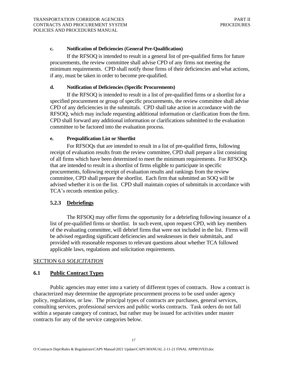### **c. Notification of Deficiencies (General Pre-Qualification)**

 If the RFSOQ is intended to result in a general list of pre-qualified firms for future procurements, the review committee shall advise CPD of any firms not meeting the minimum requirements. CPD shall notify those firms of their deficiencies and what actions, if any, must be taken in order to become pre-qualified.

### **d. Notification of Deficiencies (Specific Procurements)**

 If the RFSOQ is intended to result in a list of pre-qualified firms or a shortlist for a specified procurement or group of specific procurements, the review committee shall advise CPD of any deficiencies in the submittals. CPD shall take action in accordance with the RFSOQ, which may include requesting additional information or clarification from the firm. CPD shall forward any additional information or clarifications submitted to the evaluation committee to be factored into the evaluation process.

### **e. Prequalification List or Shortlist**

 For RFSOQs that are intended to result in a list of pre-qualified firms, following receipt of evaluation results from the review committee, CPD shall prepare a list consisting of all firms which have been determined to meet the minimum requirements. For RFSOQs that are intended to result in a shortlist of firms eligible to participate in specific procurements, following receipt of evaluation results and rankings from the review committee, CPD shall prepare the shortlist. Each firm that submitted an SOQ will be advised whether it is on the list. CPD shall maintain copies of submittals in accordance with TCA's records retention policy.

### **5.2.3 Debriefings**

 The RFSOQ may offer firms the opportunity for a debriefing following issuance of a list of pre-qualified firms or shortlist. In such event, upon request CPD, with key members of the evaluating committee, will debrief firms that were not included in the list. Firms will be advised regarding significant deficiencies and weaknesses in their submittals, and provided with reasonable responses to relevant questions about whether TCA followed applicable laws, regulations and solicitation requirements.

### SECTION 6.0 *SOLICITATION*

### **6.1 Public Contract Types**

Public agencies may enter into a variety of different types of contracts. How a contract is characterized may determine the appropriate procurement process to be used under agency policy, regulations, or law. The principal types of contracts are purchases, general services, consulting services, professional services and public works contracts. Task orders do not fall within a separate category of contract, but rather may be issued for activities under master contracts for any of the service categories below.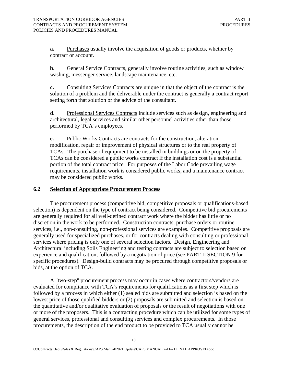**a.** Purchases usually involve the acquisition of goods or products, whether by contract or account.

**b.** General Service Contracts, generally involve routine activities, such as window washing, messenger service, landscape maintenance, etc.

**c.** Consulting Services Contracts are unique in that the object of the contract is the solution of a problem and the deliverable under the contract is generally a contract report setting forth that solution or the advice of the consultant.

**d.** Professional Services Contracts include services such as design, engineering and architectural, legal services and similar other personnel activities other than those performed by TCA's employees.

**e.** Public Works Contracts are contracts for the construction, alteration, modification, repair or improvement of physical structures or to the real property of TCAs. The purchase of equipment to be installed in buildings or on the property of TCAs can be considered a public works contract if the installation cost is a substantial portion of the total contract price. For purposes of the Labor Code prevailing wage requirements, installation work is considered public works, and a maintenance contract may be considered public works.

### **6.2 Selection of Appropriate Procurement Process**

 selection) is dependent on the type of contract being considered. Competitive bid procurements discretion in the work to be performed. Construction contracts, purchase orders or routine The procurement process (competitive bid, competitive proposals or qualifications-based are generally required for all well-defined contract work where the bidder has little or no services, i.e., non-consulting, non-professional services are examples. Competitive proposals are generally used for specialized purchases, or for contracts dealing with consulting or professional services where pricing is only one of several selection factors. Design, Engineering and Architectural including Soils Engineering and testing contracts are subject to selection based on experience and qualification, followed by a negotiation of price (see PART II SECTION 9 for specific procedures). Design-build contracts may be procured through competitive proposals or bids, at the option of TCA.

A "two-step" procurement process may occur in cases where contractors/vendors are evaluated for compliance with TCA's requirements for qualifications as a first step which is followed by a process in which either (1) sealed bids are submitted and selection is based on the lowest price of those qualified bidders or (2) proposals are submitted and selection is based on the quantitative and/or qualitative evaluation of proposals or the result of negotiations with one or more of the proposers. This is a contracting procedure which can be utilized for some types of general services, professional and consulting services and complex procurements. In those procurements, the description of the end product to be provided to TCA usually cannot be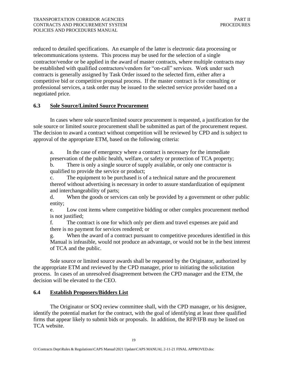reduced to detailed specifications. An example of the latter is electronic data processing or telecommunications systems. This process may be used for the selection of a single contractor/vendor or be applied in the award of master contracts, where multiple contracts may be established with qualified contractors/vendors for "on-call" services. Work under such contracts is generally assigned by Task Order issued to the selected firm, either after a competitive bid or competitive proposal process. If the master contract is for consulting or professional services, a task order may be issued to the selected service provider based on a negotiated price.

# **6.3 Sole Source/Limited Source Procurement**

In cases where sole source/limited source procurement is requested, a justification for the sole source or limited source procurement shall be submitted as part of the procurement request. The decision to award a contract without competition will be reviewed by CPD and is subject to approval of the appropriate ETM, based on the following criteria:

a. In the case of emergency where a contract is necessary for the immediate preservation of the public health, welfare, or safety or protection of TCA property;

b. There is only a single source of supply available, or only one contractor is qualified to provide the service or product;

c. The equipment to be purchased is of a technical nature and the procurement thereof without advertising is necessary in order to assure standardization of equipment and interchangeability of parts;

d. When the goods or services can only be provided by a government or other public entity;

e. Low cost items where competitive bidding or other complex procurement method is not justified;

f. The contract is one for which only per diem and travel expenses are paid and there is no payment for services rendered; or

g. When the award of a contract pursuant to competitive procedures identified in this Manual is infeasible, would not produce an advantage, or would not be in the best interest of TCA and the public.

Sole source or limited source awards shall be requested by the Originator, authorized by the appropriate ETM and reviewed by the CPD manager, prior to initiating the solicitation process. In cases of an unresolved disagreement between the CPD manager and the ETM, the decision will be elevated to the CEO.

### **6.4 Establish Proposers/Bidders List**

The Originator or SOQ review committee shall, with the CPD manager, or his designee, identify the potential market for the contract, with the goal of identifying at least three qualified firms that appear likely to submit bids or proposals. In addition, the RFP/IFB may be listed on TCA website.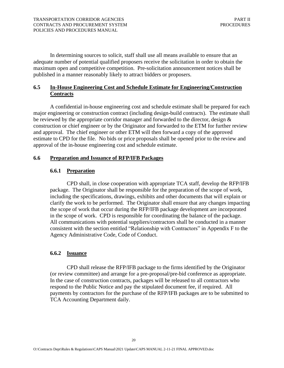In determining sources to solicit, staff shall use all means available to ensure that an adequate number of potential qualified proposers receive the solicitation in order to obtain the maximum open and competitive competition. Pre-solicitation announcement notices shall be published in a manner reasonably likely to attract bidders or proposers.

# **6.5 In-House Engineering Cost and Schedule Estimate for Engineering/Construction Contracts**

A confidential in-house engineering cost and schedule estimate shall be prepared for each major engineering or construction contract (including design-build contracts). The estimate shall be reviewed by the appropriate corridor manager and forwarded to the director, design & construction or chief engineer or by the Originator and forwarded to the ETM for further review and approval. The chief engineer or other ETM will then forward a copy of the approved estimate to CPD for the file. No bids or price proposals shall be opened prior to the review and approval of the in-house engineering cost and schedule estimate.

### **6.6 Preparation and Issuance of RFP/IFB Packages**

# **6.6.1 Preparation**

CPD shall, in close cooperation with appropriate TCA staff, develop the RFP/IFB package. The Originator shall be responsible for the preparation of the scope of work, including the specifications, drawings, exhibits and other documents that will explain or clarify the work to be performed. The Originator shall ensure that any changes impacting the scope of work that occur during the RFP/IFB package development are incorporated in the scope of work. CPD is responsible for coordinating the balance of the package. All communications with potential suppliers/contractors shall be conducted in a manner consistent with the section entitled "Relationship with Contractors" in Appendix F to the Agency Administrative Code, Code of Conduct.

### **6.6.2 Issuance**

 (or review committee) and arrange for a pre-proposal/pre-bid conference as appropriate. CPD shall release the RFP/IFB package to the firms identified by the Originator In the case of construction contracts, packages will be released to all contractors who respond to the Public Notice and pay the stipulated document fee, if required. All payments by contractors for the purchase of the RFP/IFB packages are to be submitted to TCA Accounting Department daily.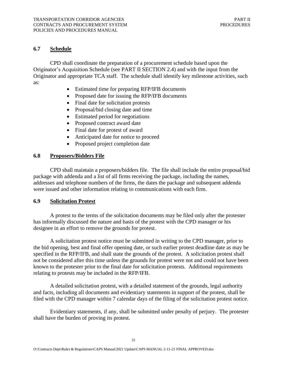# **6.7 Schedule**

CPD shall coordinate the preparation of a procurement schedule based upon the Originator's Acquisition Schedule (see PART II SECTION 2.4) and with the input from the Originator and appropriate TCA staff. The schedule shall identify key milestone activities, such as:

- Estimated time for preparing RFP/IFB documents
- Proposed date for issuing the RFP/IFB documents
- Final date for solicitation protests
- Proposal/bid closing date and time
- Estimated period for negotiations
- Proposed contract award date
- Final date for protest of award
- Anticipated date for notice to proceed
- Proposed project completion date

# **6.8 Proposers/Bidders File**

CPD shall maintain a proposers/bidders file. The file shall include the entire proposal/bid package with addenda and a list of all firms receiving the package, including the names, addresses and telephone numbers of the firms, the dates the package and subsequent addenda were issued and other information relating to communications with each firm.

### **6.9 Solicitation Protest**

A protest to the terms of the solicitation documents may be filed only after the protester has informally discussed the nature and basis of the protest with the CPD manager or his designee in an effort to remove the grounds for protest.

A solicitation protest notice must be submitted in writing to the CPD manager, prior to the bid opening, best and final offer opening date, or such earlier protest deadline date as may be specified in the RFP/IFB, and shall state the grounds of the protest. A solicitation protest shall not be considered after this time unless the grounds for protest were not and could not have been known to the protester prior to the final date for solicitation protests. Additional requirements relating to protests may be included in the RFP/IFB.

A detailed solicitation protest, with a detailed statement of the grounds, legal authority and facts, including all documents and evidentiary statements in support of the protest, shall be filed with the CPD manager within 7 calendar days of the filing of the solicitation protest notice.

Evidentiary statements, if any, shall be submitted under penalty of perjury. The protester shall have the burden of proving its protest.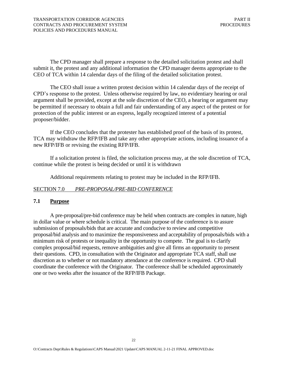The CPD manager shall prepare a response to the detailed solicitation protest and shall submit it, the protest and any additional information the CPD manager deems appropriate to the CEO of TCA within 14 calendar days of the filing of the detailed solicitation protest.

The CEO shall issue a written protest decision within 14 calendar days of the receipt of CPD's response to the protest. Unless otherwise required by law, no evidentiary hearing or oral argument shall be provided, except at the sole discretion of the CEO, a hearing or argument may be permitted if necessary to obtain a full and fair understanding of any aspect of the protest or for protection of the public interest or an express, legally recognized interest of a potential proposer/bidder.

If the CEO concludes that the protester has established proof of the basis of its protest, TCA may withdraw the RFP/IFB and take any other appropriate actions, including issuance of a new RFP/IFB or revising the existing RFP/IFB.

If a solicitation protest is filed, the solicitation process may, at the sole discretion of TCA, continue while the protest is being decided or until it is withdrawn

Additional requirements relating to protest may be included in the RFP/IFB.

### SECTION 7.0 *PRE-PROPOSAL/PRE-BID CONFERENCE*

### **7.1 Purpose**

 A pre-proposal/pre-bid conference may be held when contracts are complex in nature, high in dollar value or where schedule is critical. The main purpose of the conference is to assure submission of proposals/bids that are accurate and conducive to review and competitive proposal/bid analysis and to maximize the responsiveness and acceptability of proposals/bids with a minimum risk of protests or inequality in the opportunity to compete. The goal is to clarify complex proposal/bid requests, remove ambiguities and give all firms an opportunity to present their questions. CPD, in consultation with the Originator and appropriate TCA staff, shall use discretion as to whether or not mandatory attendance at the conference is required. CPD shall coordinate the conference with the Originator. The conference shall be scheduled approximately one or two weeks after the issuance of the RFP/IFB Package.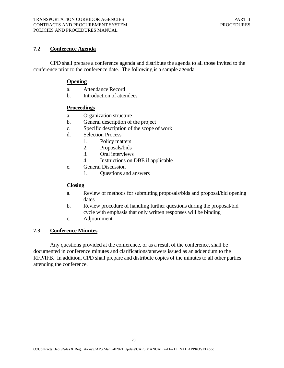# **7.2 Conference Agenda**

 CPD shall prepare a conference agenda and distribute the agenda to all those invited to the conference prior to the conference date. The following is a sample agenda:

### **Opening**

- a. Attendance Record
- b. Introduction of attendees

### **Proceedings**

- a. Organization structure
- b. General description of the project
- c. Specific description of the scope of work
- d. Selection Process
	- 1. Policy matters
	- 2. Proposals/bids
	- 3. Oral interviews
	- 4. Instructions on DBE if applicable
- e. General Discussion
	- 1. Questions and answers

### **Closing**

- a. Review of methods for submitting proposals/bids and proposal/bid opening dates
- b. Review procedure of handling further questions during the proposal/bid cycle with emphasis that only written responses will be binding
- c. Adjournment

# **7.3 Conference Minutes**

 Any questions provided at the conference, or as a result of the conference, shall be documented in conference minutes and clarifications/answers issued as an addendum to the RFP/IFB. In addition, CPD shall prepare and distribute copies of the minutes to all other parties attending the conference.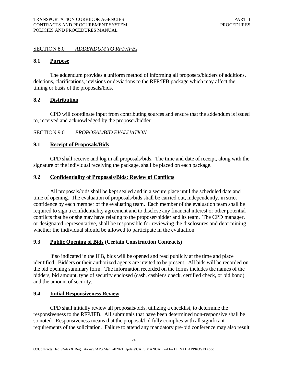### SECTION 8.0 *ADDENDUM TO RFP/IFBs*

### **8.1 Purpose**

 The addendum provides a uniform method of informing all proposers/bidders of additions, deletions, clarifications, revisions or deviations to the RFP/IFB package which may affect the timing or basis of the proposals/bids.

### **8.2 Distribution**

 CPD will coordinate input from contributing sources and ensure that the addendum is issued to, received and acknowledged by the proposer/bidder.

### SECTION 9.0 *PROPOSAL/BID EVALUATION*

### **9.1 Receipt of Proposals/Bids**

 CPD shall receive and log in all proposals/bids. The time and date of receipt, along with the signature of the individual receiving the package, shall be placed on each package.

### **9.2 Confidentiality of Proposals/Bids; Review of Conflicts**

 All proposals/bids shall be kept sealed and in a secure place until the scheduled date and time of opening. The evaluation of proposals/bids shall be carried out, independently, in strict confidence by each member of the evaluating team. Each member of the evaluation team shall be required to sign a confidentiality agreement and to disclose any financial interest or other potential conflicts that he or she may have relating to the proposer/bidder and its team. The CPD manager, or designated representative, shall be responsible for reviewing the disclosures and determining whether the individual should be allowed to participate in the evaluation.

### 9.3 Public Opening of Bids (Certain Construction Contracts)

 If so indicated in the IFB, bids will be opened and read publicly at the time and place identified. Bidders or their authorized agents are invited to be present. All bids will be recorded on the bid opening summary form. The information recorded on the forms includes the names of the bidders, bid amount, type of security enclosed (cash, cashier's check, certified check, or bid bond) and the amount of security.

### **9.4 Initial Responsiveness Review**

 CPD shall initially review all proposals/bids, utilizing a checklist, to determine the responsiveness to the RFP/IFB. All submittals that have been determined non-responsive shall be so noted. Responsiveness means that the proposal/bid fully complies with all significant requirements of the solicitation. Failure to attend any mandatory pre-bid conference may also result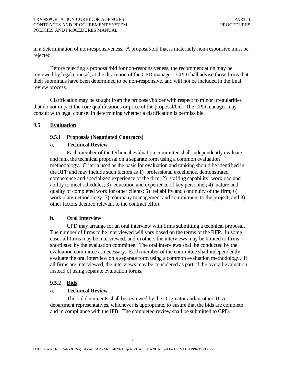in a determination of non-responsiveness. A proposal/bid that is materially non-responsive must be rejected.

 rejected. Before rejecting a proposal/bid for non-responsiveness, the recommendation may be reviewed by legal counsel, at the discretion of the CPD manager. CPD shall advise those firms that their submittals have been determined to be non-responsive, and will not be included in the final review process.

 Clarification may be sought from the proposer/bidder with respect to minor irregularities that do not impact the core qualifications or price of the proposal/bid. The CPD manager may consult with legal counsel in determining whether a clarification is permissible.

### **9.5 Evaluation**

### **9.5.1 Proposals (Negotiated Contracts)**

### **a. Technical Review**

 Each member of the technical evaluation committee shall independently evaluate and rank the technical proposal on a separate form using a common evaluation methodology. Criteria used as the basis for evaluation and ranking should be identified in the RFP and may include such factors as 1) professional excellence, demonstrated competence and specialized experience of the firm; 2) staffing capability, workload and ability to meet schedules; 3) education and experience of key personnel; 4) nature and quality of completed work for other clients; 5) reliability and continuity of the firm; 6) work plan/methodology; 7) company management and commitment to the project; and 8) other factors deemed relevant to the contract effort.

### **b. Oral Interview**

 CPD may arrange for an oral interview with firms submitting a technical proposal. The number of firms to be interviewed will vary based on the terms of the RFP. In some cases all firms may be interviewed, and in others the interviews may be limited to firms shortlisted by the evaluation committee. The oral interviews shall be conducted by the evaluation committee as necessary. Each member of the committee shall independently evaluate the oral interview on a separate form using a common evaluation methodology. If all firms are interviewed, the interviews may be considered as part of the overall evaluation instead of using separate evaluation forms.

### **9.5.2 Bids**

### **a. Technical Review**

 The bid documents shall be reviewed by the Originator and/or other TCA department representatives, whichever is appropriate, to ensure that the bids are complete and in compliance with the IFB. The completed review shall be submitted to CPD.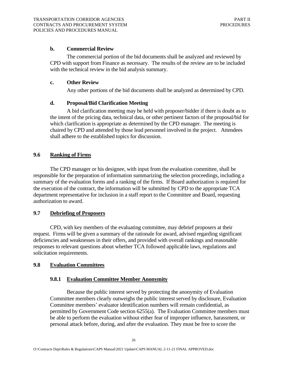### **b. Commercial Review**

 The commercial portion of the bid documents shall be analyzed and reviewed by CPD with support from Finance as necessary. The results of the review are to be included with the technical review in the bid analysis summary.

### **c. Other Review**

Any other portions of the bid documents shall be analyzed as determined by CPD.

### **d. Proposal/Bid Clarification Meeting**

 A bid clarification meeting may be held with proposer/bidder if there is doubt as to the intent of the pricing data, technical data, or other pertinent factors of the proposal/bid for which clarification is appropriate as determined by the CPD manager. The meeting is chaired by CPD and attended by those lead personnel involved in the project. Attendees shall adhere to the established topics for discussion.

### **9.6 Ranking of Firms**

 The CPD manager or his designee, with input from the evaluation committee, shall be responsible for the preparation of information summarizing the selection proceedings, including a summary of the evaluation forms and a ranking of the firms. If Board authorization is required for the execution of the contract, the information will be submitted by CPD to the appropriate TCA department representative for inclusion in a staff report to the Committee and Board, requesting authorization to award.

### **9.7 Debriefing of Proposers**

 CPD, with key members of the evaluating committee, may debrief proposers at their request. Firms will be given a summary of the rationale for award, advised regarding significant deficiencies and weaknesses in their offers, and provided with overall rankings and reasonable responses to relevant questions about whether TCA followed applicable laws, regulations and solicitation requirements.

### **9.8 Evaluation Committees**

### **9.8.1 Evaluation Committee Member Anonymity**

 Because the public interest served by protecting the anonymity of Evaluation Committee members clearly outweighs the public interest served by disclosure, Evaluation Committee members' evaluator identification numbers will remain confidential, as permitted by Government Code section 6255(a). The Evaluation Committee members must be able to perform the evaluation without either fear of improper influence, harassment, or personal attack before, during, and after the evaluation. They must be free to score the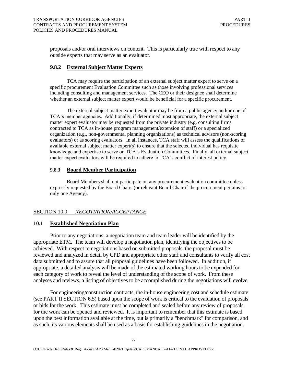proposals and/or oral interviews on content. This is particularly true with respect to any outside experts that may serve as an evaluator.

### **9.8.2 External Subject Matter Experts**

 including consulting and management services. The CEO or their designee shall determine TCA may require the participation of an external subject matter expert to serve on a specific procurement Evaluation Committee such as those involving professional services whether an external subject matter expert would be beneficial for a specific procurement.

 The external subject matter expert evaluator may be from a public agency and/or one of knowledge and expertise to serve on TCA's Evaluation Committees. Finally, all external subject matter expert evaluators will be required to adhere to TCA's conflict of interest policy. TCA's member agencies. Additionally, if determined most appropriate, the external subject matter expert evaluator may be requested from the private industry (e.g. consulting firms contracted to TCA as in-house program management/extension of staff) or a specialized organization (e.g., non-governmental planning organizations) as technical advisors (non-scoring evaluators) or as scoring evaluators. In all instances, TCA staff will assess the qualifications of available external subject matter expert(s) to ensure that the selected individual has requisite

### **9.8.3 Board Member Participation**

Board Members shall not participate on any procurement evaluation committee unless expressly requested by the Board Chairs (or relevant Board Chair if the procurement pertains to only one Agency).

### SECTION 10.0 *NEGOTIATION/ACCEPTANCE*

### **10.1 Established Negotiation Plan**

 Prior to any negotiations, a negotiation team and team leader will be identified by the appropriate ETM. The team will develop a negotiation plan, identifying the objectives to be achieved. With respect to negotiations based on submitted proposals, the proposal must be reviewed and analyzed in detail by CPD and appropriate other staff and consultants to verify all cost data submitted and to assure that all proposal guidelines have been followed. In addition, if appropriate, a detailed analysis will be made of the estimated working hours to be expended for each category of work to reveal the level of understanding of the scope of work. From these analyses and reviews, a listing of objectives to be accomplished during the negotiations will evolve.

 For engineering/construction contracts, the in-house engineering cost and schedule estimate (see PART II SECTION 6.5) based upon the scope of work is critical to the evaluation of proposals or bids for the work. This estimate must be completed and sealed before any review of proposals for the work can be opened and reviewed. It is important to remember that this estimate is based upon the best information available at the time, but is primarily a "benchmark" for comparison, and as such, its various elements shall be used as a basis for establishing guidelines in the negotiation.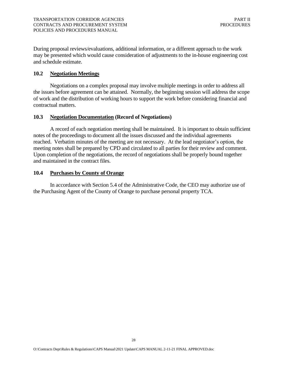During proposal reviews/evaluations, additional information, or a different approach to the work may be presented which would cause consideration of adjustments to the in-house engineering cost and schedule estimate.

### **10.2 Negotiation Meetings**

 Negotiations on a complex proposal may involve multiple meetings in order to address all the issues before agreement can be attained. Normally, the beginning session will address the scope of work and the distribution of working hours to support the work before considering financial and contractual matters.

### **10.3 Negotiation Documentation (Record of Negotiations)**

 A record of each negotiation meeting shall be maintained. It is important to obtain sufficient notes of the proceedings to document all the issues discussed and the individual agreements reached. Verbatim minutes of the meeting are not necessary. At the lead negotiator's option, the meeting notes shall be prepared by CPD and circulated to all parties for their review and comment. Upon completion of the negotiations, the record of negotiations shall be properly bound together and maintained in the contract files.

### **10.4 Purchases by County of Orange**

 In accordance with Section 5.4 of the Administrative Code, the CEO may authorize use of the Purchasing Agent of the County of Orange to purchase personal property TCA.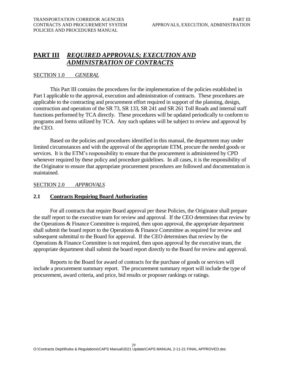# <span id="page-33-0"></span> **PART III** *REQUIRED APPROVALS; EXECUTION AND ADMINISTRATION OF CONTRACTS*

### SECTION 1.0 *GENERAL*

 This Part III contains the procedures for the implementation of the policies established in Part I applicable to the approval, execution and administration of contracts. These procedures are applicable to the contracting and procurement effort required in support of the planning, design, construction and operation of the SR 73, SR 133, SR 241 and SR 261 Toll Roads and internal staff functions performed by TCA directly. These procedures will be updated periodically to conform to programs and forms utilized by TCA. Any such updates will be subject to review and approval by the CEO.

 Based on the policies and procedures identified in this manual, the department may under limited circumstances and with the approval of the appropriate ETM, procure the needed goods or services. It is the ETM's responsibility to ensure that the procurement is administered by CPD whenever required by these policy and procedure guidelines. In all cases, it is the responsibility of the Originator to ensure that appropriate procurement procedures are followed and documentation is maintained.

### SECTION 2.0 *APPROVALS*

# **2.1 Contracts Requiring Board Authorization**

 For all contracts that require Board approval per these Policies, the Originator shall prepare the staff report to the executive team for review and approval. If the CEO determines that review by the Operations & Finance Committee is required, then upon approval, the appropriate department shall submit the board report to the Operations & Finance Committee as required for review and subsequent submittal to the Board for approval. If the CEO determines that review by the Operations & Finance Committee is not required, then upon approval by the executive team, the appropriate department shall submit the board report directly to the Board for review and approval.

 Reports to the Board for award of contracts for the purchase of goods or services will include a procurement summary report. The procurement summary report will include the type of procurement, award criteria, and price, bid results or proposer rankings or ratings.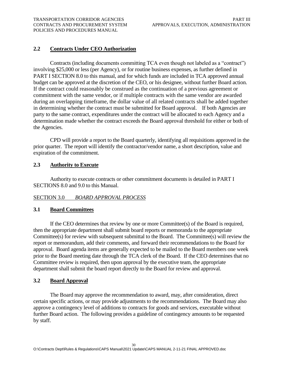# <span id="page-34-0"></span> **2.2 Contracts Under CEO Authorization**

 Contracts (including documents committing TCA even though not labeled as a "contract") involving \$25,000 or less (per Agency), or for routine business expenses, as further defined in PART I SECTION 8.0 to this manual, and for which funds are included in TCA approved annual budget can be approved at the discretion of the CEO, or his designee, without further Board action. in determining whether the contract must be submitted for Board approval. If both Agencies are party to the same contract, expenditures under the contract will be allocated to each Agency and a determination made whether the contract exceeds the Board approval threshold for either or both of If the contract could reasonably be construed as the continuation of a previous agreement or commitment with the same vendor, or if multiple contracts with the same vendor are awarded during an overlapping timeframe, the dollar value of all related contracts shall be added together the Agencies.

 CPD will provide a report to the Board quarterly, identifying all requisitions approved in the prior quarter. The report will identify the contractor/vendor name, a short description, value and expiration of the commitment.

### **2.3 Authority to Execute**

 Authority to execute contracts or other commitment documents is detailed in PART I SECTIONS 8.0 and 9.0 to this Manual.

# SECTION 3.0 *BOARD APPROVAL PROCESS*

### **3.1 Board Committees**

 If the CEO determines that review by one or more Committee(s) of the Board is required, then the appropriate department shall submit board reports or memoranda to the appropriate Committee(s) for review with subsequent submittal to the Board. The Committee(s) will review the report or memorandum, add their comments, and forward their recommendations to the Board for approval. Board agenda items are generally expected to be mailed to the Board members one week prior to the Board meeting date through the TCA clerk of the Board. If the CEO determines that no Committee review is required, then upon approval by the executive team, the appropriate department shall submit the board report directly to the Board for review and approval.

### **3.2 Board Approval**

 The Board may approve the recommendation to award, may, after consideration, direct certain specific actions, or may provide adjustments to the recommendations. The Board may also approve a contingency level of additions to contracts for goods and services, executable without further Board action. The following provides a guideline of contingency amounts to be requested by staff.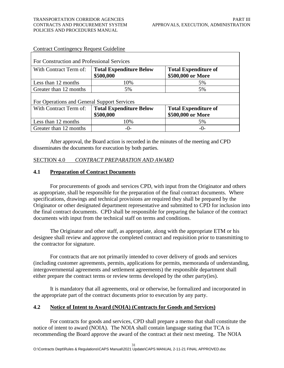| For Construction and Professional Services  |                                             |                                                  |  |  |  |  |
|---------------------------------------------|---------------------------------------------|--------------------------------------------------|--|--|--|--|
| With Contract Term of:                      | <b>Total Expenditure Below</b><br>\$500,000 | <b>Total Expenditure of</b><br>\$500,000 or More |  |  |  |  |
| Less than 12 months                         | 10%                                         | 5%                                               |  |  |  |  |
| Greater than 12 months                      | 5%                                          | 5%                                               |  |  |  |  |
| For Operations and General Support Services |                                             |                                                  |  |  |  |  |
| With Contract Term of:                      | <b>Total Expenditure Below</b><br>\$500,000 | <b>Total Expenditure of</b><br>\$500,000 or More |  |  |  |  |
| Less than 12 months                         | 10%                                         | 5%                                               |  |  |  |  |
| Greater than 12 months                      | $-0-$                                       | $-()$                                            |  |  |  |  |

### Contract Contingency Request Guideline

 After approval, the Board action is recorded in the minutes of the meeting and CPD disseminates the documents for execution by both parties.

### SECTION 4.0 *CONTRACT PREPARATION AND AWARD*

### **4.1 Preparation of Contract Documents**

For procurements of goods and services CPD, with input from the Originator and others as appropriate, shall be responsible for the preparation of the final contract documents. Where specifications, drawings and technical provisions are required they shall be prepared by the Originator or other designated department representative and submitted to CPD for inclusion into the final contract documents. CPD shall be responsible for preparing the balance of the contract documents with input from the technical staff on terms and conditions.

The Originator and other staff, as appropriate, along with the appropriate ETM or his designee shall review and approve the completed contract and requisition prior to transmitting to the contractor for signature.

For contracts that are not primarily intended to cover delivery of goods and services (including customer agreements, permits, applications for permits, memoranda of understanding, intergovernmental agreements and settlement agreements) the responsible department shall either prepare the contract terms or review terms developed by the other party(ies).

It is mandatory that all agreements, oral or otherwise, be formalized and incorporated in the appropriate part of the contract documents prior to execution by any party.

### **4.2 Notice of Intent to Award (NOIA) (Contracts for Goods and Services)**

 recommending the Board approve the award of the contract at their next meeting. The NOIA For contracts for goods and services, CPD shall prepare a memo that shall constitute the notice of intent to award (NOIA). The NOIA shall contain language stating that TCA is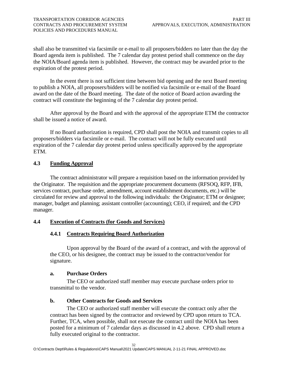<span id="page-36-0"></span>shall also be transmitted via facsimile or e-mail to all proposers/bidders no later than the day the Board agenda item is published. The 7 calendar day protest period shall commence on the day the NOIA/Board agenda item is published. However, the contract may be awarded prior to the expiration of the protest period.

In the event there is not sufficient time between bid opening and the next Board meeting to publish a NOIA, all proposers/bidders will be notified via facsimile or e-mail of the Board award on the date of the Board meeting. The date of the notice of Board action awarding the contract will constitute the beginning of the 7 calendar day protest period.

After approval by the Board and with the approval of the appropriate ETM the contractor shall be issued a notice of award.

If no Board authorization is required, CPD shall post the NOIA and transmit copies to all proposers/bidders via facsimile or e-mail. The contract will not be fully executed until expiration of the 7 calendar day protest period unless specifically approved by the appropriate ETM.

# **4.3 Funding Approval**

 The contract administrator will prepare a requisition based on the information provided by the Originator. The requisition and the appropriate procurement documents (RFSOQ, RFP, IFB, services contract, purchase order, amendment, account establishment documents, etc.) will be circulated for review and approval to the following individuals: the Originator; ETM or designee; manager, budget and planning; assistant controller (accounting); CEO, if required; and the CPD manager.

### **4.4 Execution of Contracts (for Goods and Services)**

# **4.4.1 Contracts Requiring Board Authorization**

Upon approval by the Board of the award of a contract, and with the approval of the CEO, or his designee, the contract may be issued to the contractor/vendor for signature.

### **a. Purchase Orders**

The CEO or authorized staff member may execute purchase orders prior to transmittal to the vendor.

# **b. Other Contracts for Goods and Services**

The CEO or authorized staff member will execute the contract only after the contract has been signed by the contractor and reviewed by CPD upon return to TCA. Further, TCA, when possible, shall not execute the contract until the NOIA has been posted for a minimum of 7 calendar days as discussed in 4.2 above. CPD shall return a fully executed original to the contractor.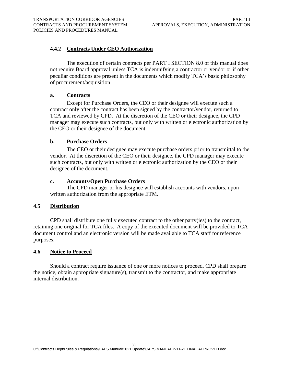# <span id="page-37-0"></span> **4.4.2 Contracts Under CEO Authorization**

The execution of certain contracts per PART I SECTION 8.0 of this manual does not require Board approval unless TCA is indemnifying a contractor or vendor or if other peculiar conditions are present in the documents which modify TCA's basic philosophy of procurement/acquisition.

### **a. Contracts**

Except for Purchase Orders, the CEO or their designee will execute such a contract only after the contract has been signed by the contractor/vendor, returned to TCA and reviewed by CPD. At the discretion of the CEO or their designee, the CPD manager may execute such contracts, but only with written or electronic authorization by the CEO or their designee of the document.

### **b. Purchase Orders**

The CEO or their designee may execute purchase orders prior to transmittal to the vendor. At the discretion of the CEO or their designee, the CPD manager may execute such contracts, but only with written or electronic authorization by the CEO or their designee of the document.

### **c. Accounts/Open Purchase Orders**

The CPD manager or his designee will establish accounts with vendors, upon written authorization from the appropriate ETM.

### **4.5 Distribution**

 retaining one original for TCA files. A copy of the executed document will be provided to TCA CPD shall distribute one fully executed contract to the other party(ies) to the contract, document control and an electronic version will be made available to TCA staff for reference purposes.

### **4.6 Notice to Proceed**

Should a contract require issuance of one or more notices to proceed, CPD shall prepare the notice, obtain appropriate signature(s), transmit to the contractor, and make appropriate internal distribution.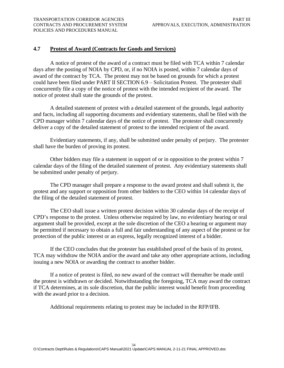### <span id="page-38-0"></span>**4.7 Protest of Award (Contracts for Goods and Services)**

 could have been filed under PART II SECTION 6.9 – Solicitation Protest. The protester shall concurrently file a copy of the notice of protest with the intended recipient of the award. The A notice of protest of the award of a contract must be filed with TCA within 7 calendar days after the posting of NOIA by CPD, or, if no NOIA is posted, within 7 calendar days of award of the contract by TCA. The protest may not be based on grounds for which a protest notice of protest shall state the grounds of the protest.

A detailed statement of protest with a detailed statement of the grounds, legal authority and facts, including all supporting documents and evidentiary statements, shall be filed with the CPD manager within 7 calendar days of the notice of protest. The protester shall concurrently deliver a copy of the detailed statement of protest to the intended recipient of the award.

Evidentiary statements, if any, shall be submitted under penalty of perjury. The protester shall have the burden of proving its protest.

Other bidders may file a statement in support of or in opposition to the protest within 7 calendar days of the filing of the detailed statement of protest. Any evidentiary statements shall be submitted under penalty of perjury.

The CPD manager shall prepare a response to the award protest and shall submit it, the protest and any support or opposition from other bidders to the CEO within 14 calendar days of the filing of the detailed statement of protest.

The CEO shall issue a written protest decision within 30 calendar days of the receipt of CPD's response to the protest. Unless otherwise required by law, no evidentiary hearing or oral argument shall be provided, except at the sole discretion of the CEO a hearing or argument may be permitted if necessary to obtain a full and fair understanding of any aspect of the protest or for protection of the public interest or an express, legally recognized interest of a bidder.

If the CEO concludes that the protester has established proof of the basis of its protest, TCA may withdraw the NOIA and/or the award and take any other appropriate actions, including issuing a new NOIA or awarding the contract to another bidder.

If a notice of protest is filed, no new award of the contract will thereafter be made until the protest is withdrawn or decided. Notwithstanding the foregoing, TCA may award the contract if TCA determines, at its sole discretion, that the public interest would benefit from proceeding with the award prior to a decision.

Additional requirements relating to protest may be included in the RFP/IFB.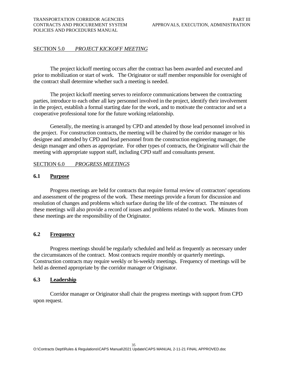# <span id="page-39-0"></span>SECTION 5.0 *PROJECT KICKOFF MEETING*

 The project kickoff meeting occurs after the contract has been awarded and executed and prior to mobilization or start of work. The Originator or staff member responsible for oversight of the contract shall determine whether such a meeting is needed.

 The project kickoff meeting serves to reinforce communications between the contracting parties, introduce to each other all key personnel involved in the project, identify their involvement in the project, establish a formal starting date for the work, and to motivate the contractor and set a cooperative professional tone for the future working relationship.

 Generally, the meeting is arranged by CPD and attended by those lead personnel involved in the project. For construction contracts, the meeting will be chaired by the corridor manager or his designee and attended by CPD and lead personnel from the construction engineering manager, the design manager and others as appropriate. For other types of contracts, the Originator will chair the meeting with appropriate support staff, including CPD staff and consultants present.

### SECTION 6.0 *PROGRESS MEETINGS*

### **6.1 Purpose**

 Progress meetings are held for contracts that require formal review of contractors' operations and assessment of the progress of the work. These meetings provide a forum for discussion and resolution of changes and problems which surface during the life of the contract. The minutes of these meetings will also provide a record of issues and problems related to the work. Minutes from these meetings are the responsibility of the Originator.

### **6.2 Frequency**

 Progress meetings should be regularly scheduled and held as frequently as necessary under the circumstances of the contract. Most contracts require monthly or quarterly meetings. Construction contracts may require weekly or bi-weekly meetings. Frequency of meetings will be held as deemed appropriate by the corridor manager or Originator.

### **6.3 Leadership**

 Corridor manager or Originator shall chair the progress meetings with support from CPD upon request.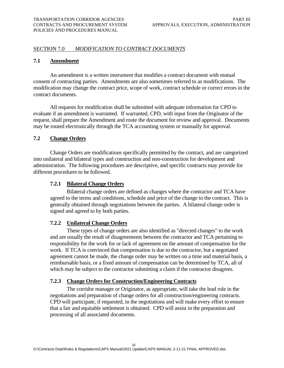# <span id="page-40-0"></span> SECTION 7.0 *MODIFICATION TO CONTRACT DOCUMENTS*

### **7.1 Amendment**

 An amendment is a written instrument that modifies a contract document with mutual consent of contracting parties. Amendments are also sometimes referred to as modifications. The modification may change the contract price, scope of work, contract schedule or correct errors in the contract documents.

 contract documents. All requests for modification shall be submitted with adequate information for CPD to evaluate if an amendment is warranted. If warranted, CPD, with input from the Originator of the request, shall prepare the Amendment and route the document for review and approval. Documents may be routed electronically through the TCA accounting system or manually for approval.

### **7.2 Change Orders**

 Change Orders are modifications specifically permitted by the contract, and are categorized into unilateral and bilateral types and construction and non-construction for development and administration. The following procedures are descriptive, and specific contracts may provide for different procedures to be followed.

### **7.2.1 Bilateral Change Orders**

 Bilateral change orders are defined as changes where the contractor and TCA have agreed to the terms and conditions, schedule and price of the change to the contract. This is generally obtained through negotiations between the parties. A bilateral change order is signed and agreed to by both parties.

### **7.2.2 Unilateral Change Orders**

 These types of change orders are also identified as "directed changes" to the work and are usually the result of disagreements between the contractor and TCA pertaining to responsibility for the work for or lack of agreement on the amount of compensation for the work. If TCA is convinced that compensation is due to the contractor, but a negotiated agreement cannot be made, the change order may be written on a time and material basis, a reimbursable basis, or a fixed amount of compensation can be determined by TCA, all of which may be subject to the contractor submitting a claim if the contractor disagrees.

### **7.2.3 Change Orders for Construction/Engineering Contracts**

 The corridor manager or Originator, as appropriate, will take the lead role in the negotiations and preparation of change orders for all construction/engineering contracts. CPD will participate, if requested, in the negotiations and will make every effort to ensure that a fair and equitable settlement is obtained. CPD will assist in the preparation and processing of all associated documents.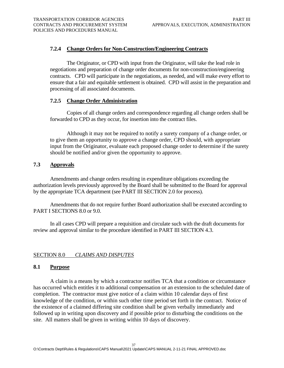### <span id="page-41-0"></span>**7.2.4 Change Orders for Non-Construction/Engineering Contracts**

 The Originator, or CPD with input from the Originator, will take the lead role in negotiations and preparation of change order documents for non-construction/engineering contracts. CPD will participate in the negotiations, as needed, and will make every effort to ensure that a fair and equitable settlement is obtained. CPD will assist in the preparation and processing of all associated documents.

### **7.2.5 Change Order Administration**

 Copies of all change orders and correspondence regarding all change orders shall be forwarded to CPD as they occur, for insertion into the contract files.

Although it may not be required to notify a surety company of a change order, or to give them an opportunity to approve a change order, CPD should, with appropriate input from the Originator, evaluate each proposed change order to determine if the surety should be notified and/or given the opportunity to approve.

### **7.3 Approvals**

 Amendments and change orders resulting in expenditure obligations exceeding the authorization levels previously approved by the Board shall be submitted to the Board for approval by the appropriate TCA department (see PART III SECTION 2.0 for process).

 Amendments that do not require further Board authorization shall be executed according to PART I SECTIONS 8.0 or 9.0.

 In all cases CPD will prepare a requisition and circulate such with the draft documents for review and approval similar to the procedure identified in PART III SECTION 4.3.

### SECTION 8.0 *CLAIMS AND DISPUTES*

### **8.1 Purpose**

 site. All matters shall be given in writing within 10 days of discovery. A claim is a means by which a contractor notifies TCA that a condition or circumstance has occurred which entitles it to additional compensation or an extension to the scheduled date of completion. The contractor must give notice of a claim within 10 calendar days of first knowledge of the condition, or within such other time period set forth in the contract. Notice of the existence of a claimed differing site condition shall be given verbally immediately and followed up in writing upon discovery and if possible prior to disturbing the conditions on the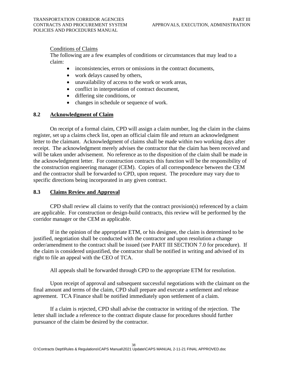# <span id="page-42-0"></span>Conditions of Claims

The following are a few examples of conditions or circumstances that may lead to a claim:

- inconsistencies, errors or omissions in the contract documents,
- work delays caused by others,
- unavailability of access to the work or work areas,
- conflict in interpretation of contract document,
- differing site conditions, or
- changes in schedule or sequence of work.

### **8.2 Acknowledgment of Claim**

 receipt. The acknowledgment merely advises the contractor that the claim has been received and will be taken under advisement. No reference as to the disposition of the claim shall be made in On receipt of a formal claim, CPD will assign a claim number, log the claim in the claims register, set up a claims check list, open an official claim file and return an acknowledgment letter to the claimant. Acknowledgment of claims shall be made within two working days after the acknowledgment letter. For construction contracts this function will be the responsibility of the construction engineering manager (CEM). Copies of all correspondence between the CEM and the contractor shall be forwarded to CPD, upon request. The procedure may vary due to specific directions being incorporated in any given contract.

### **8.3 Claims Review and Approval**

CPD shall review all claims to verify that the contract provision(s) referenced by a claim are applicable. For construction or design-build contracts, this review will be performed by the corridor manager or the CEM as applicable.

 order/amendment to the contract shall be issued (see PART III SECTION 7.0 for procedure). If If in the opinion of the appropriate ETM, or his designee, the claim is determined to be justified, negotiation shall be conducted with the contractor and upon resolution a change the claim is considered unjustified, the contractor shall be notified in writing and advised of its right to file an appeal with the CEO of TCA.

All appeals shall be forwarded through CPD to the appropriate ETM for resolution.

Upon receipt of approval and subsequent successful negotiations with the claimant on the final amount and terms of the claim, CPD shall prepare and execute a settlement and release agreement. TCA Finance shall be notified immediately upon settlement of a claim.

If a claim is rejected, CPD shall advise the contractor in writing of the rejection. The letter shall include a reference to the contract dispute clause for procedures should further pursuance of the claim be desired by the contractor.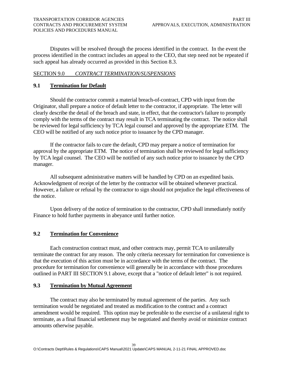<span id="page-43-0"></span>Disputes will be resolved through the process identified in the contract. In the event the process identified in the contract includes an appeal to the CEO, that step need not be repeated if such appeal has already occurred as provided in this Section 8.3.

### SECTION 9.0 *CONTRACT TERMINATION/SUSPENSIONS*

# **9.1 Termination for Default**

 Should the contractor commit a material breach-of-contract, CPD with input from the Originator, shall prepare a notice of default letter to the contractor, if appropriate. The letter will clearly describe the detail of the breach and state, in effect, that the contractor's failure to promptly comply with the terms of the contract may result in TCA terminating the contract. The notice shall be reviewed for legal sufficiency by TCA legal counsel and approved by the appropriate ETM. The CEO will be notified of any such notice prior to issuance by the CPD manager.

 If the contractor fails to cure the default, CPD may prepare a notice of termination for approval by the appropriate ETM. The notice of termination shall be reviewed for legal sufficiency by TCA legal counsel. The CEO will be notified of any such notice prior to issuance by the CPD manager.

 All subsequent administrative matters will be handled by CPD on an expedited basis. Acknowledgment of receipt of the letter by the contractor will be obtained whenever practical. However, a failure or refusal by the contractor to sign should not prejudice the legal effectiveness of the notice.

 Upon delivery of the notice of termination to the contractor, CPD shall immediately notify Finance to hold further payments in abeyance until further notice.

# **9.2 Termination for Convenience**

 Each construction contract must, and other contracts may, permit TCA to unilaterally terminate the contract for any reason. The only criteria necessary for termination for convenience is that the execution of this action must be in accordance with the terms of the contract. The procedure for termination for convenience will generally be in accordance with those procedures outlined in PART III SECTION 9.1 above, except that a "notice of default letter" is not required.

### **9.3 Termination by Mutual Agreement**

 The contract may also be terminated by mutual agreement of the parties. Any such termination would be negotiated and treated as modification to the contract and a contract amendment would be required. This option may be preferable to the exercise of a unilateral right to terminate, as a final financial settlement may be negotiated and thereby avoid or minimize contract amounts otherwise payable.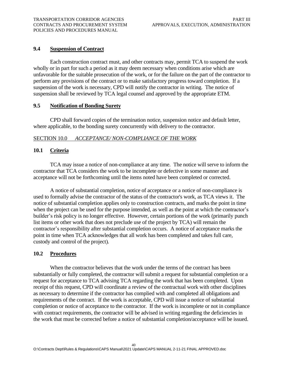# <span id="page-44-0"></span>**9.4 Suspension of Contract**

 Each construction contract must, and other contracts may, permit TCA to suspend the work wholly or in part for such a period as it may deem necessary when conditions arise which are unfavorable for the suitable prosecution of the work, or for the failure on the part of the contractor to perform any provisions of the contract or to make satisfactory progress toward completion. If a suspension of the work is necessary, CPD will notify the contractor in writing. The notice of suspension shall be reviewed by TCA legal counsel and approved by the appropriate ETM.

### **9.5 Notification of Bonding Surety**

 CPD shall forward copies of the termination notice, suspension notice and default letter, where applicable, to the bonding surety concurrently with delivery to the contractor.

# SECTION 10.0 *ACCEPTANCE/ NON-COMPLIANCE OF THE WORK*

# **10.1 Criteria**

 TCA may issue a notice of non-compliance at any time. The notice will serve to inform the contractor that TCA considers the work to be incomplete or defective in some manner and acceptance will not be forthcoming until the items noted have been completed or corrected.

 A notice of substantial completion, notice of acceptance or a notice of non-compliance is used to formally advise the contractor of the status of the contractor's work, as TCA views it. The notice of substantial completion applies only to construction contracts, and marks the point in time when the project can be used for the purpose intended, as well as the point at which the contractor's builder's risk policy is no longer effective. However, certain portions of the work (primarily punch list items or other work that does not preclude use of the project by TCA) will remain the contractor's responsibility after substantial completion occurs. A notice of acceptance marks the point in time when TCA acknowledges that all work has been completed and takes full care, custody and control of the project).

### **10.2 Procedures**

 When the contractor believes that the work under the terms of the contract has been substantially or fully completed, the contractor will submit a request for substantial completion or a request for acceptance to TCA advising TCA regarding the work that has been completed. Upon receipt of this request, CPD will coordinate a review of the contractual work with other disciplines as necessary to determine if the contractor has complied with and completed all obligations and requirements of the contract. If the work is acceptable, CPD will issue a notice of substantial completion or notice of acceptance to the contractor. If the work is incomplete or not in compliance with contract requirements, the contractor will be advised in writing regarding the deficiencies in the work that must be corrected before a notice of substantial completion/acceptance will be issued.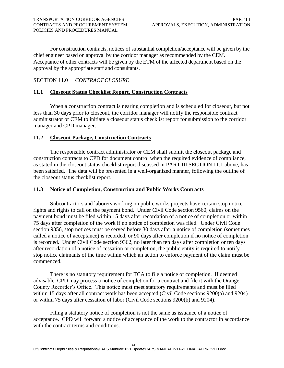<span id="page-45-0"></span> For construction contracts, notices of substantial completion/acceptance will be given by the chief engineer based on approval by the corridor manager as recommended by the CEM. Acceptance of other contracts will be given by the ETM of the affected department based on the approval by the appropriate staff and consultants.

# SECTION 11.0 *CONTRACT CLOSURE*

# **11.1 Closeout Status Checklist Report, Construction Contracts**

When a construction contract is nearing completion and is scheduled for closeout, but not less than 30 days prior to closeout, the corridor manager will notify the responsible contract administrator or CEM to initiate a closeout status checklist report for submission to the corridor manager and CPD manager.

### **11.2 Closeout Package, Construction Contracts**

 been satisfied. The data will be presented in a well-organized manner, following the outline of The responsible contract administrator or CEM shall submit the closeout package and construction contracts to CPD for document control when the required evidence of compliance, as stated in the closeout status checklist report discussed in PART III SECTION 11.1 above, has the closeout status checklist report.

### **11.3 Notice of Completion, Construction and Public Works Contracts**

Subcontractors and laborers working on public works projects have certain stop notice rights and rights to call on the payment bond. Under Civil Code section 9560, claims on the payment bond must be filed within 15 days after recordation of a notice of completion or within 75 days after completion of the work if no notice of completion was filed. Under Civil Code section 9356, stop notices must be served before 30 days after a notice of completion (sometimes called a notice of acceptance) is recorded, or 90 days after completion if no notice of completion is recorded. Under Civil Code section 9362, no later than ten days after completion or ten days after recordation of a notice of cessation or completion, the public entity is required to notify stop notice claimants of the time within which an action to enforce payment of the claim must be commenced.

There is no statutory requirement for TCA to file a notice of completion. If deemed advisable, CPD may process a notice of completion for a contract and file it with the Orange County Recorder's Office. This notice must meet statutory requirements and must be filed within 15 days after all contract work has been accepted (Civil Code sections 9200(a) and 9204) or within 75 days after cessation of labor (Civil Code sections 9200(b) and 9204).

Filing a statutory notice of completion is not the same as issuance of a notice of acceptance. CPD will forward a notice of acceptance of the work to the contractor in accordance with the contract terms and conditions.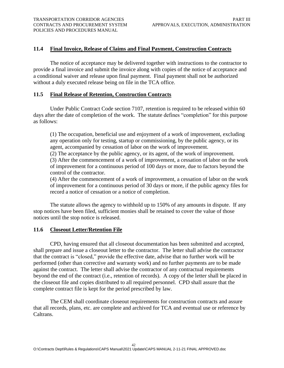# <span id="page-46-0"></span>**11.4 Final Invoice, Release of Claims and Final Payment, Construction Contracts**

The notice of acceptance may be delivered together with instructions to the contractor to provide a final invoice and submit the invoice along with copies of the notice of acceptance and a conditional waiver and release upon final payment. Final payment shall not be authorized without a duly executed release being on file in the TCA office.

### **11.5 Final Release of Retention, Construction Contracts**

Under Public Contract Code section 7107, retention is required to be released within 60 days after the date of completion of the work. The statute defines "completion" for this purpose as follows:

(1) The occupation, beneficial use and enjoyment of a work of improvement, excluding any operation only for testing, startup or commissioning, by the public agency, or its agent, accompanied by cessation of labor on the work of improvement.

(2) The acceptance by the public agency, or its agent, of the work of improvement.

(3) After the commencement of a work of improvement, a cessation of labor on the work of improvement for a continuous period of 100 days or more, due to factors beyond the control of the contractor.

(4) After the commencement of a work of improvement, a cessation of labor on the work of improvement for a continuous period of 30 days or more, if the public agency files for record a notice of cessation or a notice of completion.

The statute allows the agency to withhold up to 150% of any amounts in dispute. If any stop notices have been filed, sufficient monies shall be retained to cover the value of those notices until the stop notice is released.

### **11.6 Closeout Letter/Retention File**

CPD, having ensured that all closeout documentation has been submitted and accepted, shall prepare and issue a closeout letter to the contractor. The letter shall advise the contractor that the contract is "closed," provide the effective date, advise that no further work will be performed (other than corrective and warranty work) and no further payments are to be made against the contract. The letter shall advise the contractor of any contractual requirements beyond the end of the contract (i.e., retention of records). A copy of the letter shall be placed in the closeout file and copies distributed to all required personnel. CPD shall assure that the complete contract file is kept for the period prescribed by law.

The CEM shall coordinate closeout requirements for construction contracts and assure that all records, plans, etc. are complete and archived for TCA and eventual use or reference by Caltrans.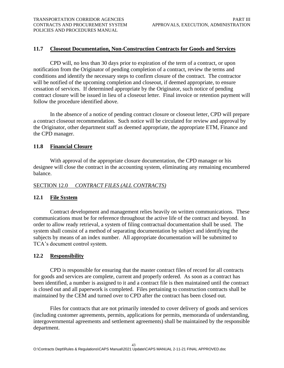# <span id="page-47-0"></span>**11.7 Closeout Documentation, Non-Construction Contracts for Goods and Services**

CPD will, no less than 30 days prior to expiration of the term of a contract, or upon notification from the Originator of pending completion of a contract, review the terms and conditions and identify the necessary steps to confirm closure of the contract. The contractor will be notified of the upcoming completion and closeout, if deemed appropriate, to ensure cessation of services. If determined appropriate by the Originator, such notice of pending contract closure will be issued in lieu of a closeout letter. Final invoice or retention payment will follow the procedure identified above.

In the absence of a notice of pending contract closure or closeout letter, CPD will prepare a contract closeout recommendation. Such notice will be circulated for review and approval by the Originator, other department staff as deemed appropriate, the appropriate ETM, Finance and the CPD manager.

### **11.8 Financial Closure**

With approval of the appropriate closure documentation, the CPD manager or his designee will close the contract in the accounting system, eliminating any remaining encumbered balance.

### SECTION 12.0 *CONTRACT FILES (ALL CONTRACTS)*

### **12.1 File System**

Contract development and management relies heavily on written communications. These communications must be for reference throughout the active life of the contract and beyond. In order to allow ready retrieval, a system of filing contractual documentation shall be used. The system shall consist of a method of separating documentation by subject and identifying the subjects by means of an index number. All appropriate documentation will be submitted to TCA's document control system.

### **12.2 Responsibility**

 for goods and services are complete, current and properly ordered. As soon as a contract has CPD is responsible for ensuring that the master contract files of record for all contracts been identified, a number is assigned to it and a contract file is then maintained until the contract is closed out and all paperwork is completed. Files pertaining to construction contracts shall be maintained by the CEM and turned over to CPD after the contract has been closed out.

Files for contracts that are not primarily intended to cover delivery of goods and services (including customer agreements, permits, applications for permits, memoranda of understanding, intergovernmental agreements and settlement agreements) shall be maintained by the responsible department.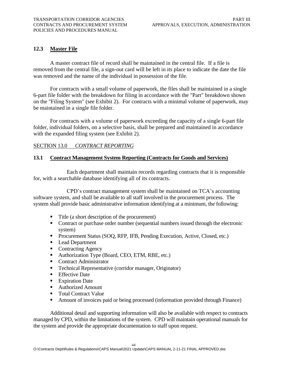# <span id="page-48-0"></span>**12.3 Master File**

A master contract file of record shall be maintained in the central file. If a file is removed from the central file, a sign-out card will be left in its place to indicate the date the file was removed and the name of the individual in possession of the file.

For contracts with a small volume of paperwork, the files shall be maintained in a single 6-part file folder with the breakdown for filing in accordance with the "Part" breakdown shown on the "Filing System" (see Exhibit 2). For contracts with a minimal volume of paperwork, may be maintained in a single file folder.

with the expanded filing system (see Exhibit 2). For contracts with a volume of paperwork exceeding the capacity of a single 6-part file folder, individual folders, on a selective basis, shall be prepared and maintained in accordance

# **SECTION 13.0** *CONTRACT REPORTING*

### **13.1 Contract Management System Reporting (Contracts for Goods and Services)**

Each department shall maintain records regarding contracts that it is responsible for, with a searchable database identifying all of its contracts.

 software system, and shall be available to all staff involved in the procurement process. The system shall provide basic administrative information identifying at a minimum, the following: CPD's contract management system shall be maintained on TCA's accounting

- Title (a short description of the procurement)
- Contract or purchase order number (sequential numbers issued through the electronic system)
- **Procurement Status (SOQ, RFP, IFB, Pending Execution, Active, Closed, etc.)**
- Lead Department
- Contracting Agency
- Authorization Type (Board, CEO, ETM, RBE, etc.)
- Contract Administrator
- **Technical Representative (corridor manager, Originator)**
- Effective Date
- Expiration Date
- Authorized Amount
- Total Contract Value
- **EXECUTE:** Amount of invoices paid or being processed (information provided through Finance)

 Additional detail and supporting information will also be available with respect to contracts managed by CPD, within the limitations of the system. CPD will maintain operational manuals for the system and provide the appropriate documentation to staff upon request.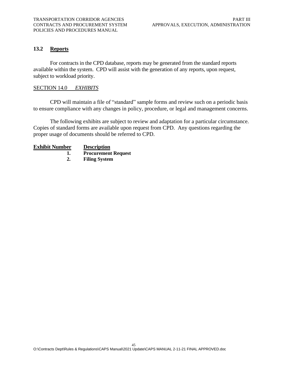### <span id="page-49-0"></span>**13.2 Reports**

 For contracts in the CPD database, reports may be generated from the standard reports available within the system. CPD will assist with the generation of any reports, upon request, subject to workload priority.

### SECTION 14.0 *EXHIBITS*

CPD will maintain a file of "standard" sample forms and review such on a periodic basis to ensure compliance with any changes in policy, procedure, or legal and management concerns.

The following exhibits are subject to review and adaptation for a particular circumstance. Copies of standard forms are available upon request from CPD. Any questions regarding the proper usage of documents should be referred to CPD.

### **Exhibit Number Description**

- **1. Procurement Request**
- **2. Filing System**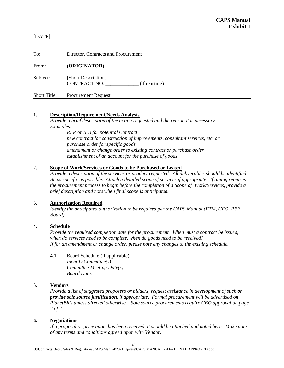[DATE]

To: Director, Contracts and Procurement

From: **(ORIGINATOR)** 

Subject: [Short Description] CONTRACT NO. \_\_\_\_\_\_\_\_\_\_\_\_\_ (if existing)

Short Title: Procurement Request

### **1. Description/Requirement/Needs Analysis**

*Provide a brief description of the action requested and the reason it is necessary Examples:* 

> *purchase order for specific goods RFP or IFB for potential Contract new contract for construction of improvements, consultant services, etc. or amendment or change order to existing contract or purchase order establishment of an account for the purchase of goods*

### **2. Scope of Work/Services or Goods to be Purchased or Leased**

 *the procurement process to begin before the completion of a Scope of Work/Services, provide a Provide a description of the services or product requested. All deliverables should be identified. Be as specific as possible. Attach a detailed scope of services if appropriate. If timing requires brief description and note when final scope is anticipated.* 

### **3. Authorization Required**

*Identify the anticipated authorization to be required per the CAPS Manual (ETM, CEO, RBE, Board).* 

### **4. Schedule**

 *Provide the required completion date for the procurement. When must a contract be issued,*  when do services need to be complete, when do goods need to be received? *when do services need to be complete, when do goods need to be received? If for an amendment or change order, please note any changes to the existing schedule.* 

4.1 Board Schedule (if applicable) *Identify Committee(s): Committee Meeting Date(s): Board Date:* 

### **5. Vendors**

*Provide a list of suggested proposers or bidders, request assistance in development of such or provide sole source justification, if appropriate. Formal procurement will be advertised on PlanetBids unless directed otherwise. Sole source procurements require CEO approval on page 2 of 2.* 

### **6. Negotiations**

*If a proposal or price quote has been received, it should be attached and noted here. Make note of any terms and conditions agreed upon with Vendor.*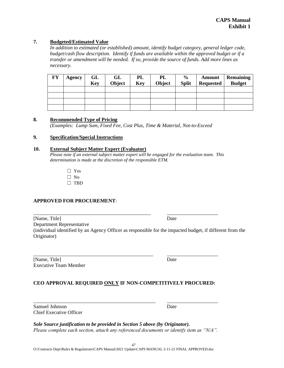### **7. Budgeted/Estimated Value**

 *budget/cash flow description. Identify if funds are available within the approved budget or if a In addition to estimated (or established) amount, identify budget category, general ledger code, transfer or amendment will be needed. If so, provide the source of funds. Add more lines as necessary.* 

| <b>FY</b> | Agency | GL<br><b>Key</b> | GL<br>Object | PL<br><b>Key</b> | PL<br>Object | $\frac{6}{9}$<br><b>Split</b> | <b>Amount</b><br><b>Requested</b> | Remaining<br><b>Budget</b> |
|-----------|--------|------------------|--------------|------------------|--------------|-------------------------------|-----------------------------------|----------------------------|
|           |        |                  |              |                  |              |                               |                                   |                            |
|           |        |                  |              |                  |              |                               |                                   |                            |
|           |        |                  |              |                  |              |                               |                                   |                            |
|           |        |                  |              |                  |              |                               |                                   |                            |

### **8. Recommended Type of Pricing**

 *(Examples: Lump Sum, Fixed Fee, Cost Plus, Time & Material, Not-to-Exceed* 

### **9. Specification/Special Instructions**

### **10. External Subject Matter Expert (Evaluator)**

 *Please note if an external subject matter expert will be engaged for the evaluation team. This determination is made at the discretion of the responsible ETM.* 

> ☐ Yes ☐ No

☐ TBD

### **APPROVED FOR PROCUREMENT**:

 (individual identified by an Agency Officer as responsible for the impacted budget, if different from the [Name, Title] Date Department Representative Originator)

\_\_\_\_\_\_\_\_\_\_\_\_\_\_\_\_\_\_\_\_\_\_\_\_\_\_\_\_\_\_\_\_\_\_\_\_\_\_\_\_\_\_\_\_\_\_\_ \_\_\_\_\_\_\_\_\_\_\_\_\_\_\_\_\_\_\_\_ [Name, Title] Date Executive Team Member

### **CEO APPROVAL REQUIRED ONLY IF NON-COMPETITIVELY PROCURED:**

\_\_\_\_\_\_\_\_\_\_\_\_\_\_\_\_\_\_\_\_\_\_\_\_\_\_\_\_\_\_\_\_\_\_\_\_\_\_\_\_\_\_\_\_\_\_\_\_ \_\_\_\_\_\_\_\_\_\_\_\_\_\_\_\_\_\_\_\_

\_\_\_\_\_\_\_\_\_\_\_\_\_\_\_\_\_\_\_\_\_\_\_\_\_\_\_\_\_\_\_\_\_\_\_\_\_\_\_\_\_\_\_\_\_\_ \_\_\_\_\_\_\_\_\_\_\_\_\_\_\_\_\_\_\_\_

Samuel Johnson Date Chief Executive Officer

*Sole Source justification to be provided in Section 5 above (by Originator). Please complete each section, attach any referenced documents or identify item as "N/A".*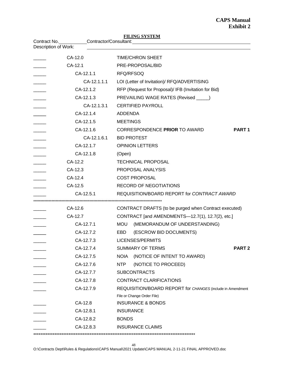| Contract No.         |             | Contractor/Consultant: Contractor Consultant:              |
|----------------------|-------------|------------------------------------------------------------|
| Description of Work: |             |                                                            |
|                      | CA-12.0     | <b>TIME/CHRON SHEET</b>                                    |
|                      | CA-12.1     | PRE-PROPOSAL/BID                                           |
|                      | CA-12.1.1   | RFQ/RFSOQ                                                  |
|                      | CA-12.1.1.1 | LOI (Letter of Invitation)/ RFQ/ADVERTISING                |
|                      | CA-12.1.2   | RFP (Request for Proposal)/ IFB (Invitation for Bid)       |
|                      | CA-12.1.3   | PREVAILING WAGE RATES (Revised _____)                      |
|                      | CA-12.1.3.1 | <b>CERTIFIED PAYROLL</b>                                   |
|                      | CA-12.1.4   | <b>ADDENDA</b>                                             |
|                      | CA-12.1.5   | <b>MEETINGS</b>                                            |
|                      | CA-12.1.6   | CORRESPONDENCE PRIOR TO AWARD<br>PART <sub>1</sub>         |
|                      | CA-12.1.6.1 | <b>BID PROTEST</b>                                         |
|                      | CA-12.1.7   | <b>OPINION LETTERS</b>                                     |
|                      | CA-12.1.8   | (Open)                                                     |
|                      | CA-12.2     | <b>TECHNICAL PROPOSAL</b>                                  |
|                      | CA-12.3     | PROPOSAL ANALYSIS                                          |
|                      | CA-12.4     | <b>COST PROPOSAL</b>                                       |
|                      | CA-12.5     | <b>RECORD OF NEGOTIATIONS</b>                              |
|                      | CA-12.5.1   | REQUISITION/BOARD REPORT for CONTRACT AWARD                |
|                      |             |                                                            |
|                      | CA-12.6     | CONTRACT DRAFTS (to be purged when Contract executed)      |
|                      | CA-12.7     | CONTRACT [and AMENDMENTS-12.7(1), 12.7(2), etc.]           |
|                      | CA-12.7.1   | <b>MOU</b><br>(MEMORANDUM OF UNDERSTANDING)                |
|                      | CA-12.7.2   | EBD<br>(ESCROW BID DOCUMENTS)                              |
|                      | CA-12.7.3   | LICENSES/PERMITS                                           |
|                      | CA-12.7.4   | <b>SUMMARY OF TERMS</b><br><b>PART 2</b>                   |
|                      | CA-12.7.5   | <b>NOIA</b><br>(NOTICE OF INTENT TO AWARD)                 |
|                      | CA-12.7.6   | (NOTICE TO PROCEED)<br>NTP                                 |
|                      | CA-12.7.7   | <b>SUBCONTRACTS</b>                                        |
|                      | CA-12.7.8   | <b>CONTRACT CLARIFICATIONS</b>                             |
|                      | CA-12.7.9   | REQUISITION/BOARD REPORT for CHANGES (include in Amendment |
|                      |             | File or Change Order File)                                 |
|                      | CA-12.8     | <b>INSURANCE &amp; BONDS</b>                               |
|                      | CA-12.8.1   | <b>INSURANCE</b>                                           |
|                      | CA-12.8.2   | <b>BONDS</b>                                               |
|                      | CA-12.8.3   | <b>INSURANCE CLAIMS</b>                                    |

**FILING SYSTEM** 

O:\Contracts Dept\Rules & Regulations\CAPS Manual\2021 Update\CAPS MANUAL 2-11-21 FINAL APPROVED.doc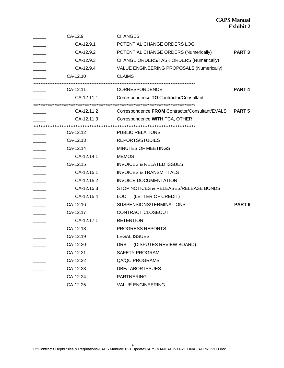# **CAPS Manual Exhibit 2**

| CA-12.9    | <b>CHANGES</b>                                  |                   |
|------------|-------------------------------------------------|-------------------|
| CA-12.9.1  | POTENTIAL CHANGE ORDERS LOG                     |                   |
| CA-12.9.2  | POTENTIAL CHANGE ORDERS (Numerically)           | <b>PART3</b>      |
| CA-12.9.3  | CHANGE ORDERS/TASK ORDERS (Numerically)         |                   |
| CA-12.9.4  | VALUE ENGINEERING PROPOSALS (Numerically)       |                   |
| CA-12.10   | <b>CLAIMS</b>                                   |                   |
| CA-12.11   | <b>CORRESPONDENCE</b>                           | PART <sub>4</sub> |
| CA-12.11.1 | Correspondence TO Contractor/Consultant         |                   |
| CA-12.11.2 | Correspondence FROM Contractor/Consultant/EVALS | <b>PART 5</b>     |
| CA-12.11.3 | Correspondence WITH TCA, OTHER                  |                   |
| CA-12.12   | <b>PUBLIC RELATIONS</b>                         |                   |
| CA-12.13   | <b>REPORTS/STUDIES</b>                          |                   |
| CA-12.14   | MINUTES OF MEETINGS                             |                   |
| CA-12.14.1 | <b>MEMOS</b>                                    |                   |
| CA-12.15   | <b>INVOICES &amp; RELATED ISSUES</b>            |                   |
| CA-12.15.1 | <b>INVOICES &amp; TRANSMITTALS</b>              |                   |
| CA-12.15.2 | <b>INVOICE DOCUMENTATION</b>                    |                   |
| CA-12.15.3 | STOP NOTICES & RELEASES/RELEASE BONDS           |                   |
| CA-12.15.4 | (LETTER OF CREDIT)<br><b>LOC</b>                |                   |
| CA-12.16   | SUSPENSIONS/TERMINATIONS                        | PART <sub>6</sub> |
| CA-12.17   | CONTRACT CLOSEOUT                               |                   |
| CA-12.17.1 | <b>RETENTION</b>                                |                   |
| CA-12.18   | PROGRESS REPORTS                                |                   |
| CA-12.19   | <b>LEGAL ISSUES</b>                             |                   |
| CA-12.20   | (DISPUTES REVIEW BOARD)<br><b>DRB</b>           |                   |
| CA-12.21   | <b>SAFETY PROGRAM</b>                           |                   |
| CA-12.22   | QA/QC PROGRAMS                                  |                   |
| CA-12.23   | <b>DBE/LABOR ISSUES</b>                         |                   |
| CA-12.24   | <b>PARTNERING</b>                               |                   |
| CA-12.25   | <b>VALUE ENGINEERING</b>                        |                   |